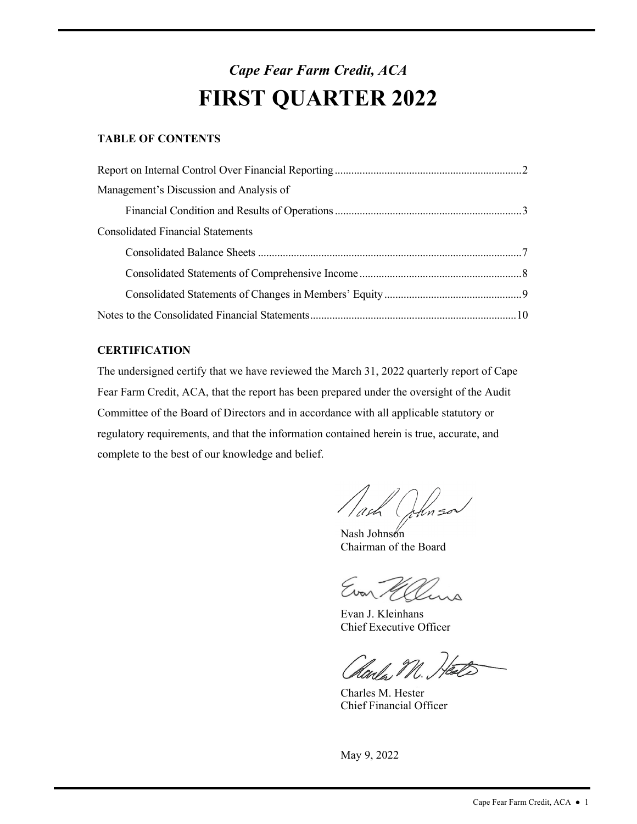# *Cape Fear Farm Credit, ACA*  **FIRST QUARTER 2022**

# **TABLE OF CONTENTS**

| Management's Discussion and Analysis of  |  |
|------------------------------------------|--|
|                                          |  |
| <b>Consolidated Financial Statements</b> |  |
|                                          |  |
|                                          |  |
|                                          |  |
|                                          |  |

## **CERTIFICATION**

The undersigned certify that we have reviewed the March 31, 2022 quarterly report of Cape Fear Farm Credit, ACA, that the report has been prepared under the oversight of the Audit Committee of the Board of Directors and in accordance with all applicable statutory or regulatory requirements, and that the information contained herein is true, accurate, and complete to the best of our knowledge and belief.

/ash ()Musov

Nash Johnson Chairman of the Board

Evan Melins

Evan J. Kleinhans Chief Executive Officer

Harles M. Heate

Charles M. Hester Chief Financial Officer

May 9, 2022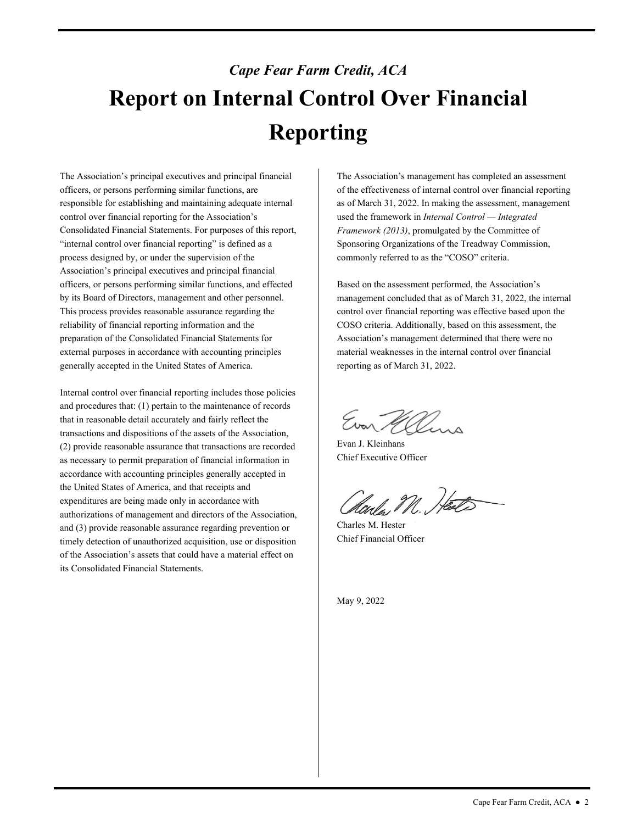# *Cape Fear Farm Credit, ACA*  **Report on Internal Control Over Financial Reporting**

The Association's principal executives and principal financial officers, or persons performing similar functions, are responsible for establishing and maintaining adequate internal control over financial reporting for the Association's Consolidated Financial Statements. For purposes of this report, "internal control over financial reporting" is defined as a process designed by, or under the supervision of the Association's principal executives and principal financial officers, or persons performing similar functions, and effected by its Board of Directors, management and other personnel. This process provides reasonable assurance regarding the reliability of financial reporting information and the preparation of the Consolidated Financial Statements for external purposes in accordance with accounting principles generally accepted in the United States of America.

 that in reasonable detail accurately and fairly reflect the Internal control over financial reporting includes those policies and procedures that: (1) pertain to the maintenance of records transactions and dispositions of the assets of the Association, (2) provide reasonable assurance that transactions are recorded as necessary to permit preparation of financial information in accordance with accounting principles generally accepted in the United States of America, and that receipts and expenditures are being made only in accordance with authorizations of management and directors of the Association, and (3) provide reasonable assurance regarding prevention or timely detection of unauthorized acquisition, use or disposition of the Association's assets that could have a material effect on its Consolidated Financial Statements.

The Association's management has completed an assessment of the effectiveness of internal control over financial reporting as of March 31, 2022. In making the assessment, management used the framework in *Internal Control — Integrated Framework (2013)*, promulgated by the Committee of Sponsoring Organizations of the Treadway Commission, commonly referred to as the "COSO" criteria.

 Association's management determined that there were no Based on the assessment performed, the Association's management concluded that as of March 31, 2022, the internal control over financial reporting was effective based upon the COSO criteria. Additionally, based on this assessment, the material weaknesses in the internal control over financial reporting as of March 31, 2022.

Evan Malina

Evan J. Kleinhans Chief Executive Officer

Harle, M. Heats

Charles M. Hester Chief Financial Officer

May 9, 2022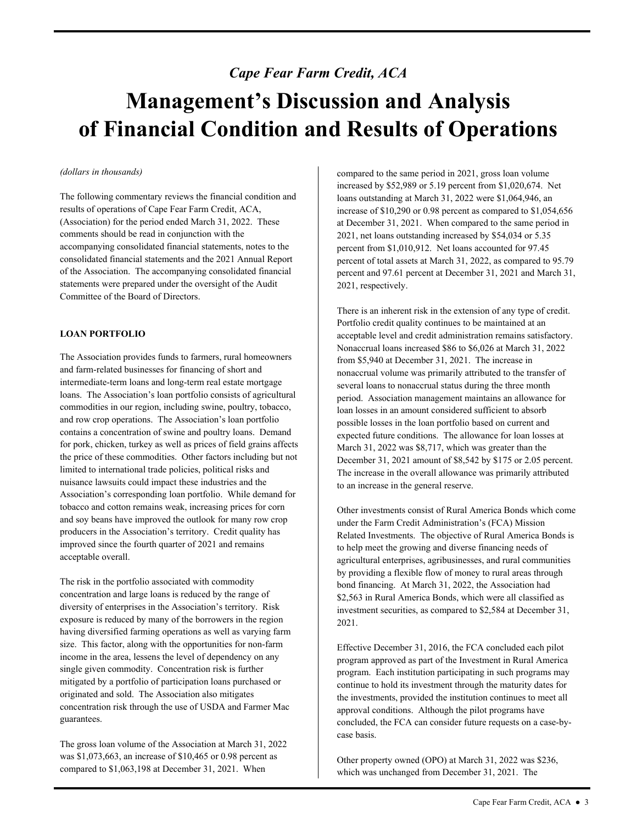# *Cape Fear Farm Credit, ACA*  **Management's Discussion and Analysis of Financial Condition and Results of Operations**

#### *(dollars in thousands)*

The following commentary reviews the financial condition and results of operations of Cape Fear Farm Credit, ACA, (Association) for the period ended March 31, 2022. These comments should be read in conjunction with the accompanying consolidated financial statements, notes to the consolidated financial statements and the 2021 Annual Report of the Association. The accompanying consolidated financial statements were prepared under the oversight of the Audit Committee of the Board of Directors.

## **LOAN PORTFOLIO**

 the price of these commodities. Other factors including but not and soy beans have improved the outlook for many row crop The Association provides funds to farmers, rural homeowners and farm-related businesses for financing of short and intermediate-term loans and long-term real estate mortgage loans. The Association's loan portfolio consists of agricultural commodities in our region, including swine, poultry, tobacco, and row crop operations. The Association's loan portfolio contains a concentration of swine and poultry loans. Demand for pork, chicken, turkey as well as prices of field grains affects limited to international trade policies, political risks and nuisance lawsuits could impact these industries and the Association's corresponding loan portfolio. While demand for tobacco and cotton remains weak, increasing prices for corn producers in the Association's territory. Credit quality has improved since the fourth quarter of 2021 and remains acceptable overall.

The risk in the portfolio associated with commodity concentration and large loans is reduced by the range of diversity of enterprises in the Association's territory. Risk exposure is reduced by many of the borrowers in the region having diversified farming operations as well as varying farm size. This factor, along with the opportunities for non-farm income in the area, lessens the level of dependency on any single given commodity. Concentration risk is further mitigated by a portfolio of participation loans purchased or originated and sold. The Association also mitigates concentration risk through the use of USDA and Farmer Mac guarantees.

The gross loan volume of the Association at March 31, 2022 was \$1,073,663, an increase of \$10,465 or 0.98 percent as compared to \$1,063,198 at December 31, 2021. When

 2021, respectively. compared to the same period in 2021, gross loan volume increased by \$52,989 or 5.19 percent from \$1,020,674. Net loans outstanding at March 31, 2022 were \$1,064,946, an increase of \$10,290 or 0.98 percent as compared to \$1,054,656 at December 31, 2021. When compared to the same period in 2021, net loans outstanding increased by \$54,034 or 5.35 percent from \$1,010,912. Net loans accounted for 97.45 percent of total assets at March 31, 2022, as compared to 95.79 percent and 97.61 percent at December 31, 2021 and March 31,

 acceptable level and credit administration remains satisfactory. December 31, 2021 amount of \$8,542 by \$175 or 2.05 percent. There is an inherent risk in the extension of any type of credit. Portfolio credit quality continues to be maintained at an Nonaccrual loans increased \$86 to \$6,026 at March 31, 2022 from \$5,940 at December 31, 2021. The increase in nonaccrual volume was primarily attributed to the transfer of several loans to nonaccrual status during the three month period. Association management maintains an allowance for loan losses in an amount considered sufficient to absorb possible losses in the loan portfolio based on current and expected future conditions. The allowance for loan losses at March 31, 2022 was \$8,717, which was greater than the The increase in the overall allowance was primarily attributed to an increase in the general reserve.

 bond financing. At March 31, 2022, the Association had Other investments consist of Rural America Bonds which come under the Farm Credit Administration's (FCA) Mission Related Investments. The objective of Rural America Bonds is to help meet the growing and diverse financing needs of agricultural enterprises, agribusinesses, and rural communities by providing a flexible flow of money to rural areas through \$2,563 in Rural America Bonds, which were all classified as investment securities, as compared to \$2,584 at December 31, 2021.

Effective December 31, 2016, the FCA concluded each pilot program approved as part of the Investment in Rural America program. Each institution participating in such programs may continue to hold its investment through the maturity dates for the investments, provided the institution continues to meet all approval conditions. Although the pilot programs have concluded, the FCA can consider future requests on a case-bycase basis.

Other property owned (OPO) at March 31, 2022 was \$236, which was unchanged from December 31, 2021. The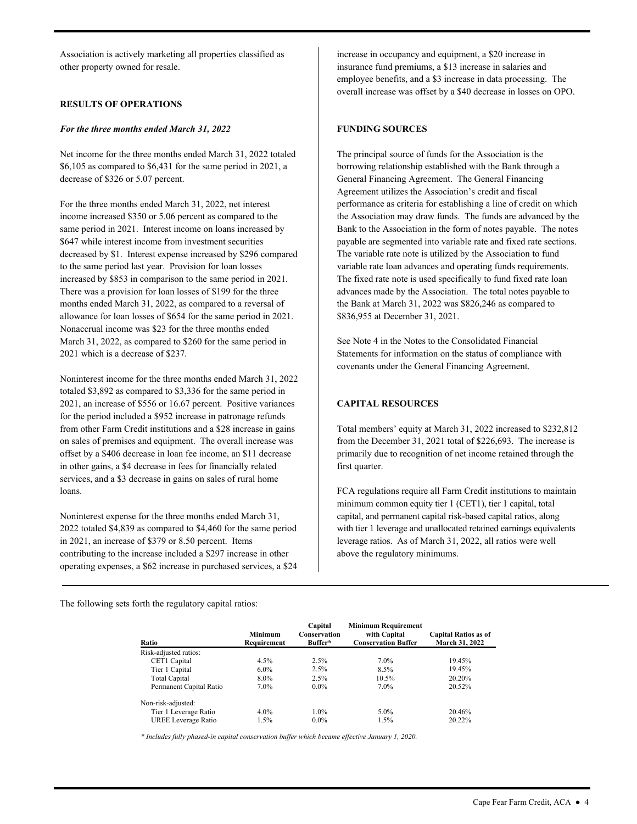Association is actively marketing all properties classified as other property owned for resale.

#### **RESULTS OF OPERATIONS**

#### *For the three months ended March 31, 2022*

Net income for the three months ended March 31, 2022 totaled \$6,105 as compared to \$6,431 for the same period in 2021, a decrease of \$326 or 5.07 percent.

For the three months ended March 31, 2022, net interest income increased \$350 or 5.06 percent as compared to the same period in 2021. Interest income on loans increased by \$647 while interest income from investment securities decreased by \$1. Interest expense increased by \$296 compared to the same period last year. Provision for loan losses increased by \$853 in comparison to the same period in 2021. There was a provision for loan losses of \$199 for the three months ended March 31, 2022, as compared to a reversal of allowance for loan losses of \$654 for the same period in 2021. Nonaccrual income was \$23 for the three months ended March 31, 2022, as compared to \$260 for the same period in 2021 which is a decrease of \$237.

 on sales of premises and equipment. The overall increase was offset by a \$406 decrease in loan fee income, an \$11 decrease Noninterest income for the three months ended March 31, 2022 totaled \$3,892 as compared to \$3,336 for the same period in 2021, an increase of \$556 or 16.67 percent. Positive variances for the period included a \$952 increase in patronage refunds from other Farm Credit institutions and a \$28 increase in gains in other gains, a \$4 decrease in fees for financially related services, and a \$3 decrease in gains on sales of rural home loans.

Noninterest expense for the three months ended March 31, 2022 totaled \$4,839 as compared to \$4,460 for the same period in 2021, an increase of \$379 or 8.50 percent. Items contributing to the increase included a \$297 increase in other operating expenses, a \$62 increase in purchased services, a \$24 increase in occupancy and equipment, a \$20 increase in insurance fund premiums, a \$13 increase in salaries and employee benefits, and a \$3 increase in data processing. The overall increase was offset by a \$40 decrease in losses on OPO.

#### **FUNDING SOURCES**

 General Financing Agreement. The General Financing Agreement utilizes the Association's credit and fiscal The principal source of funds for the Association is the borrowing relationship established with the Bank through a performance as criteria for establishing a line of credit on which the Association may draw funds. The funds are advanced by the Bank to the Association in the form of notes payable. The notes payable are segmented into variable rate and fixed rate sections. The variable rate note is utilized by the Association to fund variable rate loan advances and operating funds requirements. The fixed rate note is used specifically to fund fixed rate loan advances made by the Association. The total notes payable to the Bank at March 31, 2022 was \$826,246 as compared to \$836,955 at December 31, 2021.

See Note 4 in the Notes to the Consolidated Financial Statements for information on the status of compliance with covenants under the General Financing Agreement.

#### **CAPITAL RESOURCES**

 Total members' equity at March 31, 2022 increased to \$232,812 from the December 31, 2021 total of \$226,693. The increase is primarily due to recognition of net income retained through the first quarter.

 leverage ratios. As of March 31, 2022, all ratios were well FCA regulations require all Farm Credit institutions to maintain minimum common equity tier 1 (CET1), tier 1 capital, total capital, and permanent capital risk-based capital ratios, along with tier 1 leverage and unallocated retained earnings equivalents above the regulatory minimums.

The following sets forth the regulatory capital ratios:

| Ratio                   | <b>Minimum</b><br>Requirement | Capital<br><b>Conservation</b><br>Buffer* | <b>Minimum Requirement</b><br>with Capital<br><b>Conservation Buffer</b> | <b>Capital Ratios as of</b><br>March 31, 2022 |
|-------------------------|-------------------------------|-------------------------------------------|--------------------------------------------------------------------------|-----------------------------------------------|
| Risk-adjusted ratios:   |                               |                                           |                                                                          |                                               |
| CET1 Capital            | $4.5\%$                       | 2.5%                                      | 7.0%                                                                     | 19.45%                                        |
| Tier 1 Capital          | $6.0\%$                       | $2.5\%$                                   | 8.5%                                                                     | 19.45%                                        |
| <b>Total Capital</b>    | 8.0%                          | 2.5%                                      | 10.5%                                                                    | 20.20%                                        |
| Permanent Capital Ratio | $7.0\%$                       | $0.0\%$                                   | $7.0\%$                                                                  | 20.52%                                        |
| Non-risk-adjusted:      |                               |                                           |                                                                          |                                               |
| Tier 1 Leverage Ratio   | $4.0\%$                       | $1.0\%$                                   | $5.0\%$                                                                  | 20.46%                                        |
| UREE Leverage Ratio     | 1.5%                          | $0.0\%$                                   | 1.5%                                                                     | 20.22%                                        |

*\* Includes fully phased-in capital conservation buffer which became effective January 1, 2020.*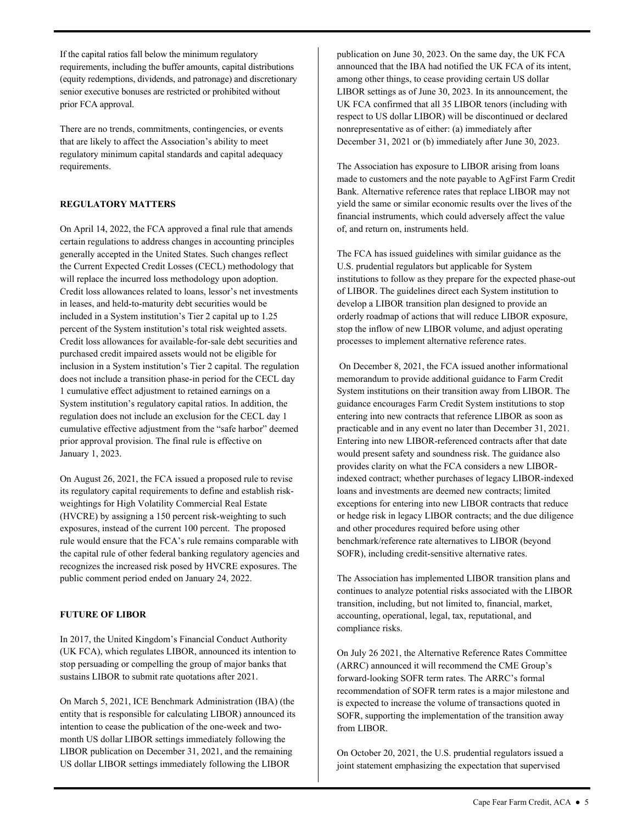If the capital ratios fall below the minimum regulatory requirements, including the buffer amounts, capital distributions (equity redemptions, dividends, and patronage) and discretionary senior executive bonuses are restricted or prohibited without prior FCA approval.

 that are likely to affect the Association's ability to meet There are no trends, commitments, contingencies, or events regulatory minimum capital standards and capital adequacy requirements.

## **REGULATORY MATTERS**

On April 14, 2022, the FCA approved a final rule that amends certain regulations to address changes in accounting principles generally accepted in the United States. Such changes reflect the Current Expected Credit Losses (CECL) methodology that will replace the incurred loss methodology upon adoption. Credit loss allowances related to loans, lessor's net investments in leases, and held-to-maturity debt securities would be included in a System institution's Tier 2 capital up to 1.25 percent of the System institution's total risk weighted assets. Credit loss allowances for available-for-sale debt securities and purchased credit impaired assets would not be eligible for inclusion in a System institution's Tier 2 capital. The regulation does not include a transition phase-in period for the CECL day 1 cumulative effect adjustment to retained earnings on a System institution's regulatory capital ratios. In addition, the regulation does not include an exclusion for the CECL day 1 cumulative effective adjustment from the "safe harbor" deemed prior approval provision. The final rule is effective on January 1, 2023.

On August 26, 2021, the FCA issued a proposed rule to revise its regulatory capital requirements to define and establish riskweightings for High Volatility Commercial Real Estate (HVCRE) by assigning a 150 percent risk-weighting to such exposures, instead of the current 100 percent. The proposed rule would ensure that the FCA's rule remains comparable with the capital rule of other federal banking regulatory agencies and recognizes the increased risk posed by HVCRE exposures. The public comment period ended on January 24, 2022.

#### **FUTURE OF LIBOR**

In 2017, the United Kingdom's Financial Conduct Authority (UK FCA), which regulates LIBOR, announced its intention to stop persuading or compelling the group of major banks that sustains LIBOR to submit rate quotations after 2021.

On March 5, 2021, ICE Benchmark Administration (IBA) (the entity that is responsible for calculating LIBOR) announced its intention to cease the publication of the one-week and twomonth US dollar LIBOR settings immediately following the LIBOR publication on December 31, 2021, and the remaining US dollar LIBOR settings immediately following the LIBOR

publication on June 30, 2023. On the same day, the UK FCA announced that the IBA had notified the UK FCA of its intent, among other things, to cease providing certain US dollar LIBOR settings as of June 30, 2023. In its announcement, the UK FCA confirmed that all 35 LIBOR tenors (including with respect to US dollar LIBOR) will be discontinued or declared nonrepresentative as of either: (a) immediately after December 31, 2021 or (b) immediately after June 30, 2023.

The Association has exposure to LIBOR arising from loans made to customers and the note payable to AgFirst Farm Credit Bank. Alternative reference rates that replace LIBOR may not yield the same or similar economic results over the lives of the financial instruments, which could adversely affect the value of, and return on, instruments held.

The FCA has issued guidelines with similar guidance as the U.S. prudential regulators but applicable for System institutions to follow as they prepare for the expected phase-out of LIBOR. The guidelines direct each System institution to develop a LIBOR transition plan designed to provide an orderly roadmap of actions that will reduce LIBOR exposure, stop the inflow of new LIBOR volume, and adjust operating processes to implement alternative reference rates.

 loans and investments are deemed new contracts; limited On December 8, 2021, the FCA issued another informational memorandum to provide additional guidance to Farm Credit System institutions on their transition away from LIBOR. The guidance encourages Farm Credit System institutions to stop entering into new contracts that reference LIBOR as soon as practicable and in any event no later than December 31, 2021. Entering into new LIBOR-referenced contracts after that date would present safety and soundness risk. The guidance also provides clarity on what the FCA considers a new LIBORindexed contract; whether purchases of legacy LIBOR-indexed exceptions for entering into new LIBOR contracts that reduce or hedge risk in legacy LIBOR contracts; and the due diligence and other procedures required before using other benchmark/reference rate alternatives to LIBOR (beyond SOFR), including credit-sensitive alternative rates.

 transition, including, but not limited to, financial, market, The Association has implemented LIBOR transition plans and continues to analyze potential risks associated with the LIBOR accounting, operational, legal, tax, reputational, and compliance risks.

On July 26 2021, the Alternative Reference Rates Committee (ARRC) announced it will recommend the CME Group's forward-looking SOFR term rates. The ARRC's formal recommendation of SOFR term rates is a major milestone and is expected to increase the volume of transactions quoted in SOFR, supporting the implementation of the transition away from LIBOR.

On October 20, 2021, the U.S. prudential regulators issued a joint statement emphasizing the expectation that supervised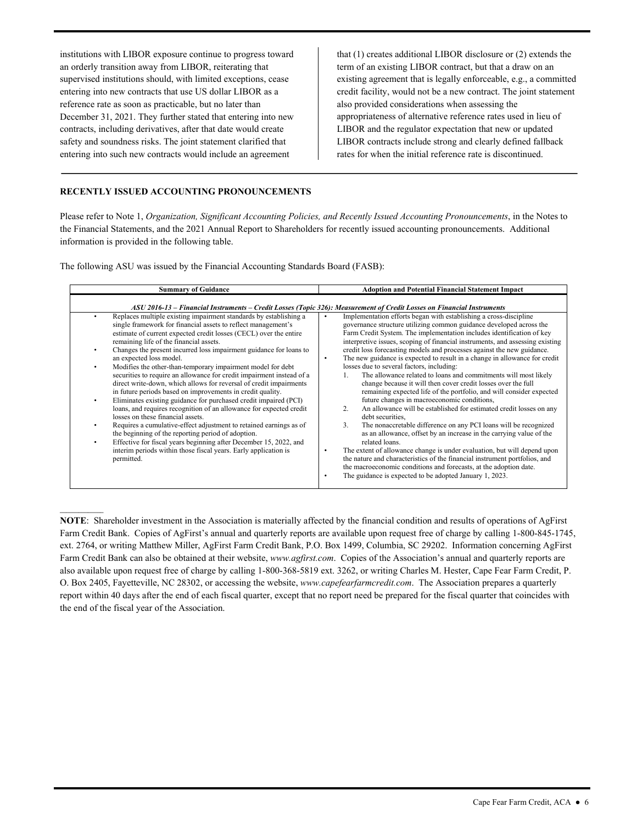institutions with LIBOR exposure continue to progress toward an orderly transition away from LIBOR, reiterating that supervised institutions should, with limited exceptions, cease entering into new contracts that use US dollar LIBOR as a reference rate as soon as practicable, but no later than December 31, 2021. They further stated that entering into new contracts, including derivatives, after that date would create safety and soundness risks. The joint statement clarified that entering into such new contracts would include an agreement

 LIBOR and the regulator expectation that new or updated that (1) creates additional LIBOR disclosure or (2) extends the term of an existing LIBOR contract, but that a draw on an existing agreement that is legally enforceable, e.g., a committed credit facility, would not be a new contract. The joint statement also provided considerations when assessing the appropriateness of alternative reference rates used in lieu of LIBOR contracts include strong and clearly defined fallback rates for when the initial reference rate is discontinued.

#### **RECENTLY ISSUED ACCOUNTING PRONOUNCEMENTS**

Please refer to Note 1, *Organization, Significant Accounting Policies, and Recently Issued Accounting Pronouncements*, in the Notes to the Financial Statements, and the 2021 Annual Report to Shareholders for recently issued accounting pronouncements. Additional information is provided in the following table.

The following ASU was issued by the Financial Accounting Standards Board (FASB):

| <b>Summary of Guidance</b>                                                                                                                                                                                                                                                                                                                                                                                                                                                                                                                                                                       | <b>Adoption and Potential Financial Statement Impact</b>                                                                                                                                                                                                                                                                                                                                                                                                                                                                                                                                                                                                                                                                                                                         |
|--------------------------------------------------------------------------------------------------------------------------------------------------------------------------------------------------------------------------------------------------------------------------------------------------------------------------------------------------------------------------------------------------------------------------------------------------------------------------------------------------------------------------------------------------------------------------------------------------|----------------------------------------------------------------------------------------------------------------------------------------------------------------------------------------------------------------------------------------------------------------------------------------------------------------------------------------------------------------------------------------------------------------------------------------------------------------------------------------------------------------------------------------------------------------------------------------------------------------------------------------------------------------------------------------------------------------------------------------------------------------------------------|
| Replaces multiple existing impairment standards by establishing a<br>$\bullet$<br>single framework for financial assets to reflect management's<br>estimate of current expected credit losses (CECL) over the entire<br>remaining life of the financial assets.<br>Changes the present incurred loss impairment guidance for loans to<br>٠<br>an expected loss model.<br>Modifies the other-than-temporary impairment model for debt<br>$\bullet$<br>securities to require an allowance for credit impairment instead of a<br>direct write-down, which allows for reversal of credit impairments | ASU 2016-13 – Financial Instruments – Credit Losses (Topic 326): Measurement of Credit Losses on Financial Instruments<br>Implementation efforts began with establishing a cross-discipline<br>governance structure utilizing common guidance developed across the<br>Farm Credit System. The implementation includes identification of key<br>interpretive issues, scoping of financial instruments, and assessing existing<br>credit loss forecasting models and processes against the new guidance.<br>The new guidance is expected to result in a change in allowance for credit<br>٠<br>losses due to several factors, including:<br>The allowance related to loans and commitments will most likely<br>1.<br>change because it will then cover credit losses over the full |
| in future periods based on improvements in credit quality.<br>Eliminates existing guidance for purchased credit impaired (PCI)<br>$\bullet$<br>loans, and requires recognition of an allowance for expected credit<br>losses on these financial assets.<br>Requires a cumulative-effect adjustment to retained earnings as of<br>٠<br>the beginning of the reporting period of adoption.<br>Effective for fiscal years beginning after December 15, 2022, and<br>$\bullet$<br>interim periods within those fiscal years. Early application is<br>permitted.                                      | remaining expected life of the portfolio, and will consider expected<br>future changes in macroeconomic conditions,<br>An allowance will be established for estimated credit losses on any<br>2.<br>debt securities.<br>The nonaccretable difference on any PCI loans will be recognized<br>3.<br>as an allowance, offset by an increase in the carrying value of the<br>related loans.<br>The extent of allowance change is under evaluation, but will depend upon<br>the nature and characteristics of the financial instrument portfolios, and<br>the macroeconomic conditions and forecasts, at the adoption date.<br>The guidance is expected to be adopted January 1, 2023.                                                                                                |

the end of the fiscal year of the Association. **NOTE**: Shareholder investment in the Association is materially affected by the financial condition and results of operations of AgFirst Farm Credit Bank. Copies of AgFirst's annual and quarterly reports are available upon request free of charge by calling 1-800-845-1745, ext. 2764, or writing Matthew Miller, AgFirst Farm Credit Bank, P.O. Box 1499, Columbia, SC 29202. Information concerning AgFirst Farm Credit Bank can also be obtained at their website, *<www.agfirst.com>*. Copies of the Association's annual and quarterly reports are also available upon request free of charge by calling 1-800-368-5819 ext. 3262, or writing Charles M. Hester, Cape Fear Farm Credit, P. O. Box 2405, Fayetteville, NC 28302, or accessing the website, *<www.capefearfarmcredit.com>*. The Association prepares a quarterly report within 40 days after the end of each fiscal quarter, except that no report need be prepared for the fiscal quarter that coincides with the end of the fiscal year of the Association.<br>Cape Fear Farm Credit, ACA  $\bullet$  6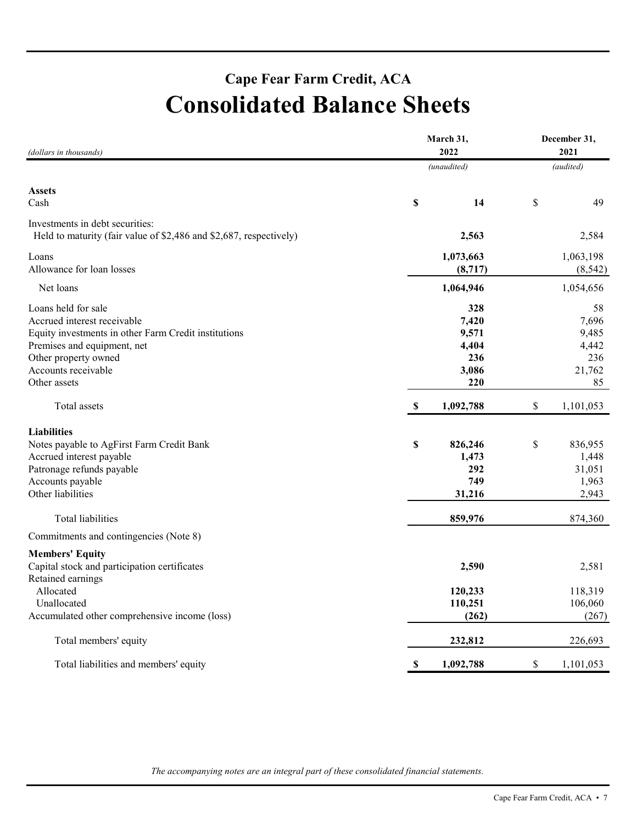# **Cape Fear Farm Credit, ACA Consolidated Balance Sheets**

| (dollars in thousands)                                                                                                                                                                                   | March 31,<br>2022         | December 31,<br>2021                                  |           |                                                      |  |
|----------------------------------------------------------------------------------------------------------------------------------------------------------------------------------------------------------|---------------------------|-------------------------------------------------------|-----------|------------------------------------------------------|--|
|                                                                                                                                                                                                          | (unaudited)               |                                                       | (audited) |                                                      |  |
| <b>Assets</b><br>Cash                                                                                                                                                                                    | \$                        | 14                                                    | \$        | 49                                                   |  |
|                                                                                                                                                                                                          |                           |                                                       |           |                                                      |  |
| Investments in debt securities:<br>Held to maturity (fair value of \$2,486 and \$2,687, respectively)                                                                                                    |                           | 2,563                                                 |           | 2,584                                                |  |
| Loans<br>Allowance for loan losses                                                                                                                                                                       |                           | 1,073,663<br>(8,717)                                  |           | 1,063,198<br>(8, 542)                                |  |
| Net loans                                                                                                                                                                                                |                           | 1,064,946                                             |           | 1,054,656                                            |  |
| Loans held for sale<br>Accrued interest receivable<br>Equity investments in other Farm Credit institutions<br>Premises and equipment, net<br>Other property owned<br>Accounts receivable<br>Other assets |                           | 328<br>7,420<br>9,571<br>4,404<br>236<br>3,086<br>220 |           | 58<br>7,696<br>9,485<br>4,442<br>236<br>21,762<br>85 |  |
| Total assets                                                                                                                                                                                             | $\mathbb S$               | 1,092,788                                             | \$        | 1,101,053                                            |  |
| <b>Liabilities</b><br>Notes payable to AgFirst Farm Credit Bank<br>Accrued interest payable<br>Patronage refunds payable<br>Accounts payable<br>Other liabilities                                        | \$                        | 826,246<br>1,473<br>292<br>749<br>31,216              | \$        | 836,955<br>1,448<br>31,051<br>1,963<br>2,943         |  |
| Total liabilities                                                                                                                                                                                        |                           | 859,976                                               |           | 874,360                                              |  |
| Commitments and contingencies (Note 8)                                                                                                                                                                   |                           |                                                       |           |                                                      |  |
| <b>Members' Equity</b><br>Capital stock and participation certificates<br>Retained earnings<br>Allocated                                                                                                 |                           | 2,590                                                 |           | 2,581<br>118,319                                     |  |
| Unallocated                                                                                                                                                                                              |                           | 120,233<br>110,251                                    |           | 106,060                                              |  |
| Accumulated other comprehensive income (loss)                                                                                                                                                            |                           | (262)                                                 |           | (267)                                                |  |
| Total members' equity                                                                                                                                                                                    |                           | 232,812                                               |           | 226,693                                              |  |
| Total liabilities and members' equity                                                                                                                                                                    | $\boldsymbol{\mathsf{S}}$ | 1,092,788                                             | \$        | 1,101,053                                            |  |

*The accompanying notes are an integral part of these consolidated financial statements.*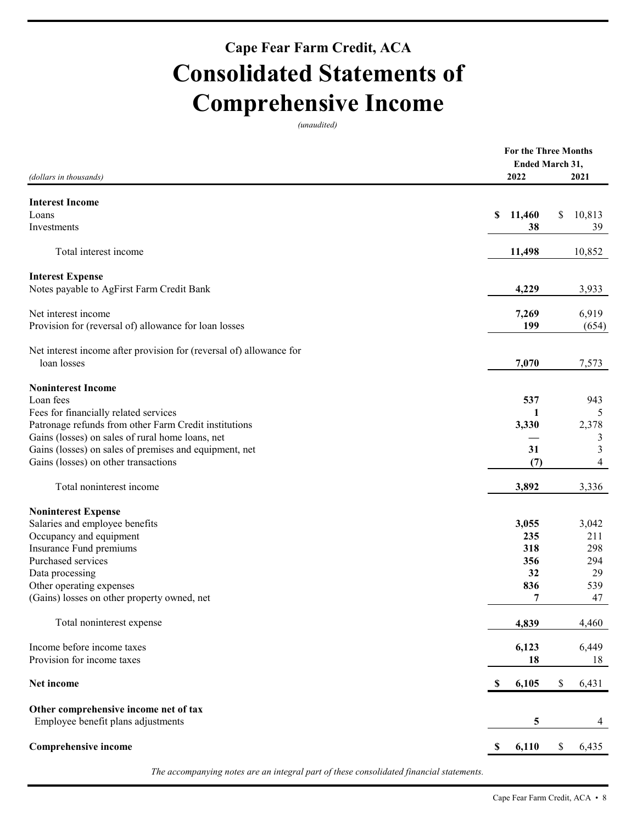# **Cape Fear Farm Credit, ACA Consolidated Statements of Comprehensive Income**

*(unaudited)* 

|                                                                     |              | <b>For the Three Months</b> |
|---------------------------------------------------------------------|--------------|-----------------------------|
|                                                                     |              | Ended March 31,             |
| (dollars in thousands)                                              | 2022         | 2021                        |
| <b>Interest Income</b>                                              |              |                             |
| Loans                                                               | \$<br>11,460 | \$<br>10,813                |
| Investments                                                         | 38           | 39                          |
|                                                                     |              |                             |
| Total interest income                                               | 11,498       | 10,852                      |
| <b>Interest Expense</b>                                             |              |                             |
| Notes payable to AgFirst Farm Credit Bank                           | 4,229        | 3,933                       |
|                                                                     |              |                             |
| Net interest income                                                 | 7,269        | 6,919                       |
| Provision for (reversal of) allowance for loan losses               | 199          | (654)                       |
| Net interest income after provision for (reversal of) allowance for |              |                             |
| loan losses                                                         | 7,070        | 7,573                       |
|                                                                     |              |                             |
| <b>Noninterest Income</b>                                           |              |                             |
| Loan fees                                                           | 537          | 943                         |
| Fees for financially related services                               | 1            | 5                           |
| Patronage refunds from other Farm Credit institutions               | 3,330        | 2,378                       |
| Gains (losses) on sales of rural home loans, net                    |              | 3                           |
| Gains (losses) on sales of premises and equipment, net              | 31           | 3                           |
| Gains (losses) on other transactions                                | (7)          | 4                           |
| Total noninterest income                                            | 3,892        | 3,336                       |
|                                                                     |              |                             |
| <b>Noninterest Expense</b>                                          |              |                             |
| Salaries and employee benefits                                      | 3,055        | 3,042                       |
| Occupancy and equipment                                             | 235<br>318   | 211<br>298                  |
| Insurance Fund premiums<br>Purchased services                       | 356          | 294                         |
| Data processing                                                     | 32           | 29                          |
| Other operating expenses                                            | 836          | 539                         |
| (Gains) losses on other property owned, net                         | 7            | 47                          |
|                                                                     |              |                             |
| Total noninterest expense                                           | 4,839        | 4,460                       |
| Income before income taxes                                          | 6,123        | 6,449                       |
| Provision for income taxes                                          | 18           | 18                          |
|                                                                     |              |                             |
| Net income                                                          | 6,105<br>\$  | $\$$<br>6,431               |
| Other comprehensive income net of tax                               |              |                             |
| Employee benefit plans adjustments                                  | 5            | 4                           |
|                                                                     |              |                             |
| <b>Comprehensive income</b>                                         | 6,110<br>S,  | \$<br>6,435                 |
|                                                                     |              |                             |

*The accompanying notes are an integral part of these consolidated financial statements.*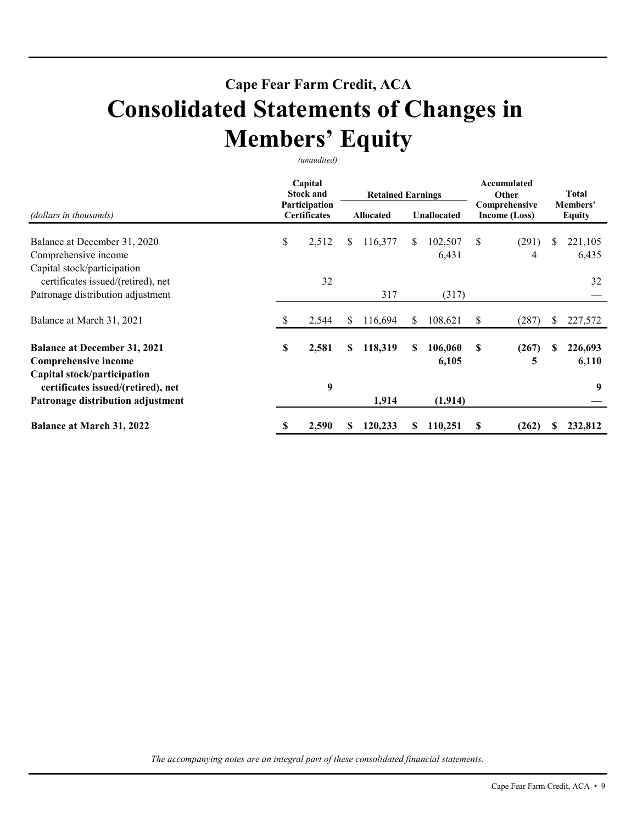# **Cape Fear Farm Credit, ACA Consolidated Statements of Changes in Members' Equity**

*(unaudited)* 

|                                                                                                        |                                      | Capital<br><b>Stock and</b> |    | <b>Retained Earnings</b> |             |                  | Accumulated<br>Other           |            | Total                     |                  |
|--------------------------------------------------------------------------------------------------------|--------------------------------------|-----------------------------|----|--------------------------|-------------|------------------|--------------------------------|------------|---------------------------|------------------|
| (dollars in thousands)                                                                                 | Participation<br><b>Certificates</b> |                             |    | <b>Allocated</b>         | Unallocated |                  | Comprehensive<br>Income (Loss) |            | Members'<br><b>Equity</b> |                  |
| Balance at December 31, 2020                                                                           | \$                                   | 2,512                       | S. | 116,377                  | S.          | 102,507<br>6,431 | S                              | (291)<br>4 | S                         | 221,105<br>6,435 |
| Comprehensive income<br>Capital stock/participation<br>certificates issued/(retired), net              |                                      | 32                          |    |                          |             |                  |                                |            |                           | 32               |
| Patronage distribution adjustment                                                                      |                                      |                             |    | 317                      |             | (317)            |                                |            |                           |                  |
| Balance at March 31, 2021                                                                              |                                      | 2,544                       | S  | 116,694                  | \$          | 108,621          | S                              | (287)      | S                         | 227,572          |
| <b>Balance at December 31, 2021</b><br>Comprehensive income                                            | \$                                   | 2,581                       | S  | 118,319                  | S           | 106,060<br>6,105 | \$                             | (267)<br>5 | S                         | 226,693<br>6,110 |
| Capital stock/participation<br>certificates issued/(retired), net<br>Patronage distribution adjustment |                                      | 9                           |    | 1,914                    |             | (1, 914)         |                                |            |                           | 9                |
| <b>Balance at March 31, 2022</b>                                                                       | \$                                   | 2,590                       | S  | 120,233                  | S           | 110,251          | \$                             | (262)      |                           | 232,812          |

*The accompanying notes are an integral part of these consolidated financial statements.*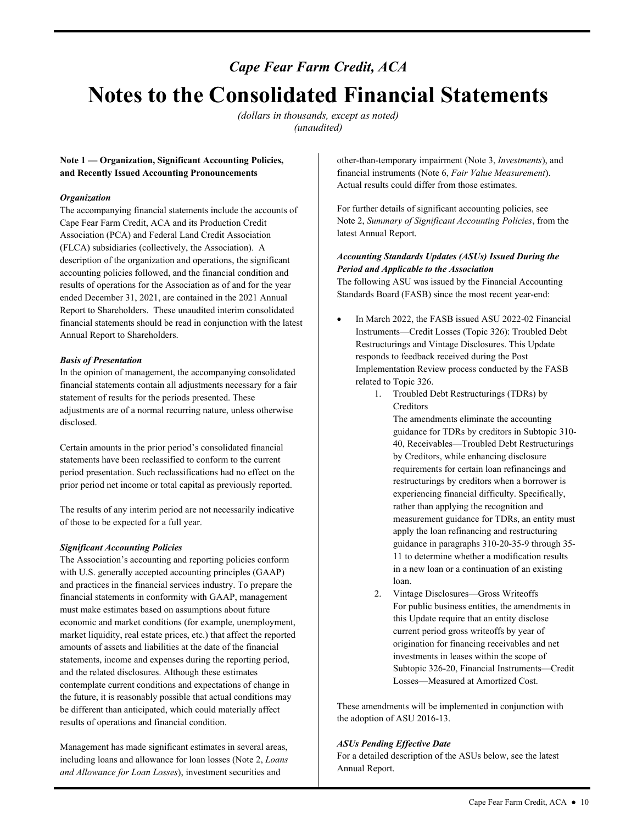# *Cape Fear Farm Credit, ACA*  **Notes to the Consolidated Financial Statements**

*(dollars in thousands, except as noted) (unaudited)* 

### **Note 1 — Organization, Significant Accounting Policies, and Recently Issued Accounting Pronouncements**

#### *Organization*

The accompanying financial statements include the accounts of Cape Fear Farm Credit, ACA and its Production Credit Association (PCA) and Federal Land Credit Association (FLCA) subsidiaries (collectively, the Association). A description of the organization and operations, the significant accounting policies followed, and the financial condition and results of operations for the Association as of and for the year ended December 31, 2021, are contained in the 2021 Annual Report to Shareholders. These unaudited interim consolidated financial statements should be read in conjunction with the latest Annual Report to Shareholders.

### *Basis of Presentation*

In the opinion of management, the accompanying consolidated financial statements contain all adjustments necessary for a fair statement of results for the periods presented. These adjustments are of a normal recurring nature, unless otherwise disclosed.

Certain amounts in the prior period's consolidated financial statements have been reclassified to conform to the current period presentation. Such reclassifications had no effect on the prior period net income or total capital as previously reported.

 of those to be expected for a full year. The results of any interim period are not necessarily indicative

#### *Significant Accounting Policies*

The Association's accounting and reporting policies conform with U.S. generally accepted accounting principles (GAAP) and practices in the financial services industry. To prepare the financial statements in conformity with GAAP, management must make estimates based on assumptions about future economic and market conditions (for example, unemployment, market liquidity, real estate prices, etc.) that affect the reported amounts of assets and liabilities at the date of the financial statements, income and expenses during the reporting period, and the related disclosures. Although these estimates contemplate current conditions and expectations of change in the future, it is reasonably possible that actual conditions may be different than anticipated, which could materially affect results of operations and financial condition. Next (a maximum continuous continuous continuous continuous continuous continuous continuous continuous continuous continuous continuous continuous continuous continuous continuous continuous continuous continuous continu

and Allowance for Loan Losses), investment securities and Management has made significant estimates in several areas, including loans and allowance for loan losses (Note 2, *Loans*  financial instruments (Note 6, *Fair Value Measurement*). Actual results could differ from those estimates.

For further details of significant accounting policies, see Note 2, *Summary of Significant Accounting Policies*, from the latest Annual Report.

## *Accounting Standards Updates (ASUs) Issued During the Period and Applicable to the Association*

 Standards Board (FASB) since the most recent year-end: The following ASU was issued by the Financial Accounting

- In March 2022, the FASB issued ASU 2022-02 Financial Instruments—Credit Losses (Topic 326): Troubled Debt Restructurings and Vintage Disclosures. This Update responds to feedback received during the Post Implementation Review process conducted by the FASB related to Topic 326.
	- 1. Troubled Debt Restructurings (TDRs) by Creditors
		- The amendments eliminate the accounting guidance for TDRs by creditors in Subtopic 310- 40, Receivables—Troubled Debt Restructurings by Creditors, while enhancing disclosure requirements for certain loan refinancings and restructurings by creditors when a borrower is experiencing financial difficulty. Specifically, rather than applying the recognition and measurement guidance for TDRs, an entity must apply the loan refinancing and restructuring guidance in paragraphs 310-20-35-9 through 35- 11 to determine whether a modification results in a new loan or a continuation of an existing loan.
	- current period gross writeoffs by year of Losses—Measured at Amortized Cost. 2. Vintage Disclosures—Gross Writeoffs For public business entities, the amendments in this Update require that an entity disclose origination for financing receivables and net investments in leases within the scope of Subtopic 326-20, Financial Instruments—Credit

These amendments will be implemented in conjunction with the adoption of ASU 2016-13.

#### *ASUs Pending Effective Date*

For a detailed description of the ASUs below, see the latest Annual Report.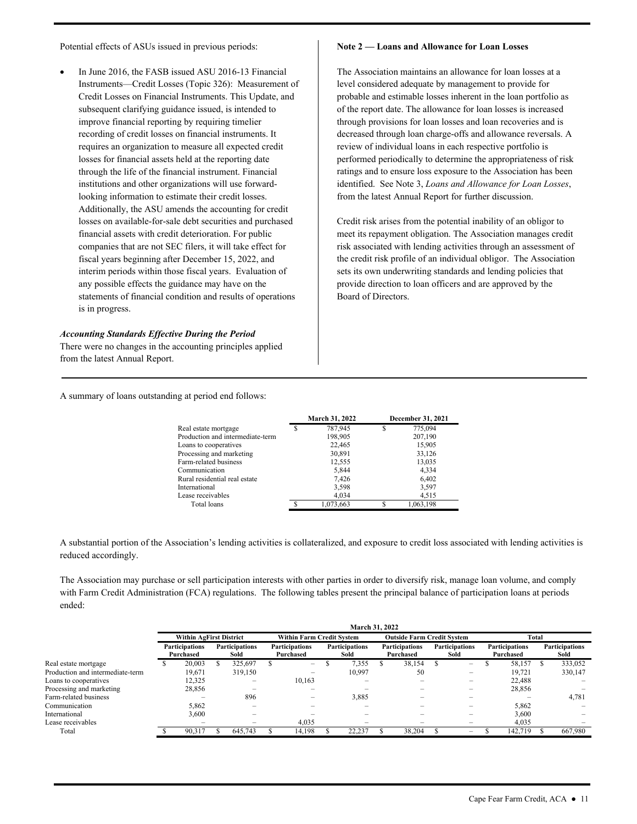Potential effects of ASUs issued in previous periods:

 interim periods within those fiscal years. Evaluation of In June 2016, the FASB issued ASU 2016-13 Financial Instruments—Credit Losses (Topic 326): Measurement of Credit Losses on Financial Instruments. This Update, and subsequent clarifying guidance issued, is intended to improve financial reporting by requiring timelier recording of credit losses on financial instruments. It requires an organization to measure all expected credit losses for financial assets held at the reporting date through the life of the financial instrument. Financial institutions and other organizations will use forwardlooking information to estimate their credit losses. Additionally, the ASU amends the accounting for credit losses on available-for-sale debt securities and purchased financial assets with credit deterioration. For public companies that are not SEC filers, it will take effect for fiscal years beginning after December 15, 2022, and any possible effects the guidance may have on the statements of financial condition and results of operations is in progress.

*Accounting Standards Effective During the Period*  There were no changes in the accounting principles applied from the latest Annual Report.

#### **Note 2 — Loans and Allowance for Loan Losses**

 identified. See Note 3, *Loans and Allowance for Loan Losses*, The Association maintains an allowance for loan losses at a level considered adequate by management to provide for probable and estimable losses inherent in the loan portfolio as of the report date. The allowance for loan losses is increased through provisions for loan losses and loan recoveries and is decreased through loan charge-offs and allowance reversals. A review of individual loans in each respective portfolio is performed periodically to determine the appropriateness of risk ratings and to ensure loss exposure to the Association has been from the latest Annual Report for further discussion.

Credit risk arises from the potential inability of an obligor to meet its repayment obligation. The Association manages credit risk associated with lending activities through an assessment of the credit risk profile of an individual obligor. The Association sets its own underwriting standards and lending policies that provide direction to loan officers and are approved by the Board of Directors.

A summary of loans outstanding at period end follows:

|                                  |   | March 31, 2022 |    | December 31, 2021 |
|----------------------------------|---|----------------|----|-------------------|
| Real estate mortgage             | S | 787,945        | \$ | 775,094           |
| Production and intermediate-term |   | 198,905        |    | 207,190           |
| Loans to cooperatives            |   | 22,465         |    | 15,905            |
| Processing and marketing         |   | 30,891         |    | 33,126            |
| Farm-related business            |   | 12,555         |    | 13,035            |
| Communication                    |   | 5,844          |    | 4.334             |
| Rural residential real estate    |   | 7,426          |    | 6,402             |
| International                    |   | 3,598          |    | 3,597             |
| Lease receivables                |   | 4,034          |    | 4,515             |
| Total loans                      |   | 1,073,663      | S  | 1,063,198         |

A substantial portion of the Association's lending activities is collateralized, and exposure to credit loss associated with lending activities is reduced accordingly.

The Association may purchase or sell participation interests with other parties in order to diversify risk, manage loan volume, and comply with Farm Credit Administration (FCA) regulations. The following tables present the principal balance of participation loans at periods ended:

|                                  | <b>March 31, 2022</b>              |                               |         |                                  |                                    |  |                               |                                   |                                    |       |                                 |  |                                    |  |                               |  |
|----------------------------------|------------------------------------|-------------------------------|---------|----------------------------------|------------------------------------|--|-------------------------------|-----------------------------------|------------------------------------|-------|---------------------------------|--|------------------------------------|--|-------------------------------|--|
|                                  | <b>Within AgFirst District</b>     |                               |         | <b>Within Farm Credit System</b> |                                    |  |                               | <b>Outside Farm Credit System</b> |                                    | Total |                                 |  |                                    |  |                               |  |
|                                  | <b>Participations</b><br>Purchased | <b>Participations</b><br>Sold |         |                                  | <b>Participations</b><br>Purchased |  | <b>Participations</b><br>Sold |                                   | <b>Participations</b><br>Purchased |       | <b>Participations</b><br>Sold   |  | <b>Participations</b><br>Purchased |  | <b>Participations</b><br>Sold |  |
| Real estate mortgage             | 20,003                             |                               | 325,697 |                                  | $\qquad \qquad -$                  |  | 7,355                         |                                   | 38,154                             | S     | $\qquad \qquad =$               |  | 58,157                             |  | 333,052                       |  |
| Production and intermediate-term | 19,671                             |                               | 319,150 |                                  | $\overline{\phantom{0}}$           |  | 10.997                        |                                   | 50                                 |       | $\hspace{0.1mm}-\hspace{0.1mm}$ |  | 19.721                             |  | 330,147                       |  |
| Loans to cooperatives            | 12.325                             |                               | -       |                                  | 10.163                             |  |                               |                                   | -                                  |       | $\overline{\phantom{0}}$        |  | 22.488                             |  |                               |  |
| Processing and marketing         | 28,856                             |                               | -       |                                  | $\overline{\phantom{0}}$           |  |                               |                                   | -                                  |       | $\overline{\phantom{0}}$        |  | 28,856                             |  |                               |  |
| Farm-related business            |                                    |                               | 896     |                                  | -                                  |  | 3,885                         |                                   | -                                  |       |                                 |  |                                    |  | 4,781                         |  |
| Communication                    | 5,862                              |                               |         |                                  |                                    |  |                               |                                   |                                    |       | $\overline{\phantom{0}}$        |  | 5,862                              |  |                               |  |
| International                    | 3,600                              |                               |         |                                  |                                    |  |                               |                                   |                                    |       | -                               |  | 3,600                              |  |                               |  |
| Lease receivables                | -                                  |                               | -       |                                  | 4,035                              |  | -                             |                                   | -                                  |       | $\overline{\phantom{0}}$        |  | 4,035                              |  |                               |  |
| Total                            | 90,317                             |                               | 645,743 |                                  | 14.198                             |  | 22.237                        |                                   | 38.204                             |       | $\overline{\phantom{a}}$        |  | 142.719                            |  | 667,980                       |  |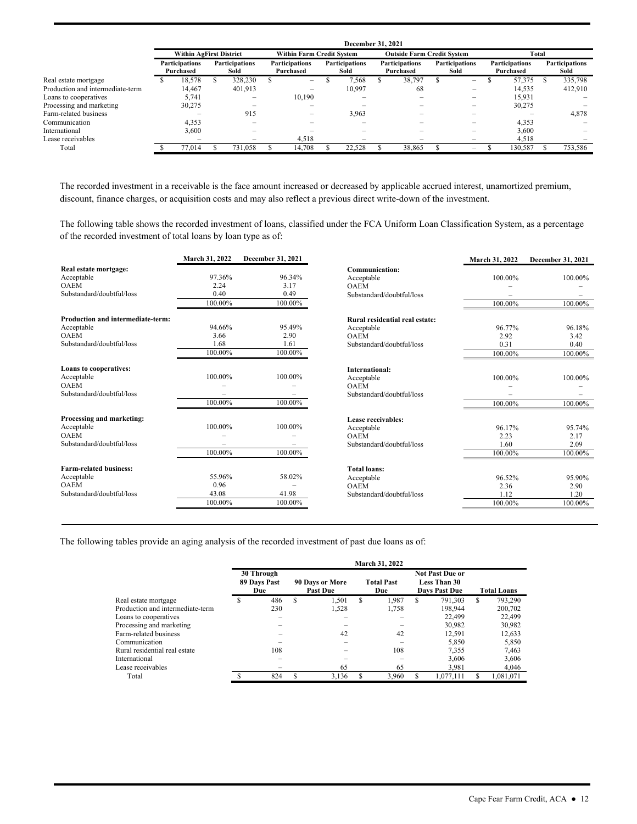|                                  |                                    |   |                               |                                    | <b>December 31, 2021</b>      |                                    |                               |                                    |                               |
|----------------------------------|------------------------------------|---|-------------------------------|------------------------------------|-------------------------------|------------------------------------|-------------------------------|------------------------------------|-------------------------------|
|                                  | <b>Within AgFirst District</b>     |   |                               | <b>Within Farm Credit System</b>   |                               | <b>Outside Farm Credit System</b>  |                               | Total                              |                               |
|                                  | <b>Participations</b><br>Purchased |   | <b>Participations</b><br>Sold | <b>Participations</b><br>Purchased | <b>Participations</b><br>Sold | <b>Participations</b><br>Purchased | <b>Participations</b><br>Sold | <b>Participations</b><br>Purchased | <b>Participations</b><br>Sold |
| Real estate mortgage             | 18.578                             | ъ | 328,230                       | $\hspace{0.1mm}-\hspace{0.1mm}$    | 7.568                         | 38,797                             | $\qquad \qquad -$             | 57,375                             | 335,798                       |
| Production and intermediate-term | 14.467                             |   | 401,913                       |                                    | 10,997                        | 68                                 | -                             | 14,535                             | 412,910                       |
| Loans to cooperatives            | 5,741                              |   | -                             | 10.190                             |                               |                                    |                               | 15,931                             |                               |
| Processing and marketing         | 30.275                             |   | -                             | -                                  |                               |                                    |                               | 30,275                             |                               |
| Farm-related business            | $\overline{\phantom{0}}$           |   | 915                           | $\overline{\phantom{0}}$           | 3,963                         |                                    |                               |                                    | 4,878                         |
| Communication                    | 4,353                              |   |                               |                                    |                               |                                    |                               | 4,353                              |                               |
| International                    | 3,600                              |   |                               |                                    |                               |                                    |                               | 3,600                              |                               |
| Lease receivables                | $\overline{\phantom{m}}$           |   | $\overline{\phantom{0}}$      | 4,518                              | -                             | -                                  | $\overline{\phantom{0}}$      | 4,518                              |                               |
| Total                            | 77.014                             |   | 731,058                       | 14.708                             | 22.528                        | 38,865                             | $\qquad \qquad$               | 130,587                            | 753,586                       |

The recorded investment in a receivable is the face amount increased or decreased by applicable accrued interest, unamortized premium, discount, finance charges, or acquisition costs and may also reflect a previous direct write-down of the investment.

 of the recorded investment of total loans by loan type as of: The following table shows the recorded investment of loans, classified under the FCA Uniform Loan Classification System, as a percentage

| Real estate mortgage:<br>Communication:<br>97.36%<br>96.34%<br>Acceptable<br>100.00%<br>Acceptable<br><b>OAEM</b><br>2.24<br>3.17<br><b>OAEM</b><br>Substandard/doubtful/loss<br>0.40<br>0.49<br>Substandard/doubtful/loss<br>100.00%<br>100.00%<br>100.00%<br>Production and intermediate-term:<br>Rural residential real estate:<br>94.66%<br>95.49%<br>Acceptable<br>96.77%<br>Acceptable<br><b>OAEM</b><br>3.66<br>2.90<br>2.92<br><b>OAEM</b><br>Substandard/doubtful/loss<br>1.68<br>1.61<br>Substandard/doubtful/loss<br>0.31<br>100.00%<br>100.00%<br>100.00%<br>Loans to cooperatives:<br>International:<br>100.00%<br>100.00%<br>Acceptable<br>100.00%<br>Acceptable<br><b>OAEM</b><br><b>OAEM</b><br>Substandard/doubtful/loss<br>Substandard/doubtful/loss<br>$\overline{\phantom{0}}$<br>-<br>100.00%<br>100.00%<br>100.00% | 100.00%<br>100.00%<br>96.18%<br>3.42<br>0.40 |
|------------------------------------------------------------------------------------------------------------------------------------------------------------------------------------------------------------------------------------------------------------------------------------------------------------------------------------------------------------------------------------------------------------------------------------------------------------------------------------------------------------------------------------------------------------------------------------------------------------------------------------------------------------------------------------------------------------------------------------------------------------------------------------------------------------------------------------------|----------------------------------------------|
|                                                                                                                                                                                                                                                                                                                                                                                                                                                                                                                                                                                                                                                                                                                                                                                                                                          |                                              |
|                                                                                                                                                                                                                                                                                                                                                                                                                                                                                                                                                                                                                                                                                                                                                                                                                                          |                                              |
|                                                                                                                                                                                                                                                                                                                                                                                                                                                                                                                                                                                                                                                                                                                                                                                                                                          |                                              |
|                                                                                                                                                                                                                                                                                                                                                                                                                                                                                                                                                                                                                                                                                                                                                                                                                                          |                                              |
|                                                                                                                                                                                                                                                                                                                                                                                                                                                                                                                                                                                                                                                                                                                                                                                                                                          |                                              |
|                                                                                                                                                                                                                                                                                                                                                                                                                                                                                                                                                                                                                                                                                                                                                                                                                                          |                                              |
|                                                                                                                                                                                                                                                                                                                                                                                                                                                                                                                                                                                                                                                                                                                                                                                                                                          |                                              |
|                                                                                                                                                                                                                                                                                                                                                                                                                                                                                                                                                                                                                                                                                                                                                                                                                                          |                                              |
|                                                                                                                                                                                                                                                                                                                                                                                                                                                                                                                                                                                                                                                                                                                                                                                                                                          |                                              |
|                                                                                                                                                                                                                                                                                                                                                                                                                                                                                                                                                                                                                                                                                                                                                                                                                                          | 100.00%                                      |
|                                                                                                                                                                                                                                                                                                                                                                                                                                                                                                                                                                                                                                                                                                                                                                                                                                          |                                              |
|                                                                                                                                                                                                                                                                                                                                                                                                                                                                                                                                                                                                                                                                                                                                                                                                                                          | 100.00%                                      |
|                                                                                                                                                                                                                                                                                                                                                                                                                                                                                                                                                                                                                                                                                                                                                                                                                                          |                                              |
|                                                                                                                                                                                                                                                                                                                                                                                                                                                                                                                                                                                                                                                                                                                                                                                                                                          |                                              |
|                                                                                                                                                                                                                                                                                                                                                                                                                                                                                                                                                                                                                                                                                                                                                                                                                                          | 100.00%                                      |
| Processing and marketing:<br>Lease receivables:                                                                                                                                                                                                                                                                                                                                                                                                                                                                                                                                                                                                                                                                                                                                                                                          |                                              |
| 100.00%<br>100.00%<br>Acceptable<br>96.17%<br>Acceptable                                                                                                                                                                                                                                                                                                                                                                                                                                                                                                                                                                                                                                                                                                                                                                                 | 95.74%                                       |
| <b>OAEM</b><br><b>OAEM</b><br>2.23                                                                                                                                                                                                                                                                                                                                                                                                                                                                                                                                                                                                                                                                                                                                                                                                       | 2.17                                         |
| Substandard/doubtful/loss<br>Substandard/doubtful/loss<br>1.60                                                                                                                                                                                                                                                                                                                                                                                                                                                                                                                                                                                                                                                                                                                                                                           | 2.09                                         |
| 100.00%<br>100.00%<br>100.00%                                                                                                                                                                                                                                                                                                                                                                                                                                                                                                                                                                                                                                                                                                                                                                                                            | 100.00%                                      |
| <b>Farm-related business:</b><br><b>Total loans:</b>                                                                                                                                                                                                                                                                                                                                                                                                                                                                                                                                                                                                                                                                                                                                                                                     |                                              |
| 55.96%<br>58.02%<br>Acceptable<br>96.52%<br>Acceptable                                                                                                                                                                                                                                                                                                                                                                                                                                                                                                                                                                                                                                                                                                                                                                                   | 95.90%                                       |
| <b>OAEM</b><br>0.96<br><b>OAEM</b><br>2.36                                                                                                                                                                                                                                                                                                                                                                                                                                                                                                                                                                                                                                                                                                                                                                                               | 2.90                                         |
| Substandard/doubtful/loss<br>43.08<br>41.98<br>Substandard/doubtful/loss<br>1.12                                                                                                                                                                                                                                                                                                                                                                                                                                                                                                                                                                                                                                                                                                                                                         | 1.20                                         |
| 100.00%<br>100.00%<br>100.00%                                                                                                                                                                                                                                                                                                                                                                                                                                                                                                                                                                                                                                                                                                                                                                                                            | 100.00%                                      |

The following tables provide an aging analysis of the recorded investment of past due loans as of:

|                                  |                                   |   |                                    |     | <b>March 31, 2022</b>    |   |                                                                       |                    |           |  |
|----------------------------------|-----------------------------------|---|------------------------------------|-----|--------------------------|---|-----------------------------------------------------------------------|--------------------|-----------|--|
|                                  | 30 Through<br>89 Days Past<br>Due |   | 90 Days or More<br><b>Past Due</b> |     | <b>Total Past</b><br>Due |   | <b>Not Past Due or</b><br><b>Less Than 30</b><br><b>Days Past Due</b> | <b>Total Loans</b> |           |  |
| Real estate mortgage             | 486                               | S | 1.501                              | \$. | 1.987                    | S | 791.303                                                               | \$                 | 793.290   |  |
| Production and intermediate-term | 230                               |   | 1,528                              |     | 1,758                    |   | 198.944                                                               |                    | 200,702   |  |
| Loans to cooperatives            |                                   |   |                                    |     |                          |   | 22.499                                                                |                    | 22.499    |  |
| Processing and marketing         |                                   |   |                                    |     |                          |   | 30.982                                                                |                    | 30.982    |  |
| Farm-related business            |                                   |   | 42                                 |     | 42                       |   | 12.591                                                                |                    | 12,633    |  |
| Communication                    |                                   |   |                                    |     |                          |   | 5.850                                                                 |                    | 5,850     |  |
| Rural residential real estate    | 108                               |   |                                    |     | 108                      |   | 7,355                                                                 |                    | 7,463     |  |
| International                    |                                   |   |                                    |     |                          |   | 3,606                                                                 |                    | 3,606     |  |
| Lease receivables                |                                   |   | 65                                 |     | 65                       |   | 3.981                                                                 |                    | 4.046     |  |
| Total                            | 824                               |   | 3,136                              |     | 3,960                    |   | 1.077.111                                                             |                    | 1.081.071 |  |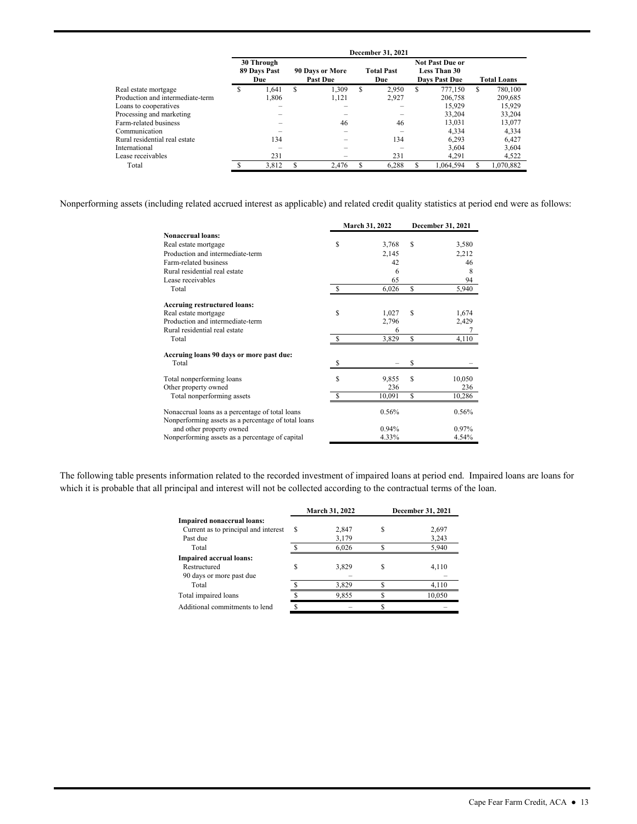|                                  |   |                                   |                                           |       |   | <b>December 31, 2021</b> |     |                                                                |                    |           |  |
|----------------------------------|---|-----------------------------------|-------------------------------------------|-------|---|--------------------------|-----|----------------------------------------------------------------|--------------------|-----------|--|
|                                  |   | 30 Through<br>89 Days Past<br>Due | <b>90 Days or More</b><br><b>Past Due</b> |       |   | <b>Total Past</b><br>Due |     | <b>Not Past Due or</b><br><b>Less Than 30</b><br>Days Past Due | <b>Total Loans</b> |           |  |
| Real estate mortgage             | a | 1.641                             | S                                         | 1.309 | S | 2.950                    | \$. | 777,150                                                        | S.                 | 780,100   |  |
| Production and intermediate-term |   | 1.806                             |                                           | 1.121 |   | 2,927                    |     | 206,758                                                        |                    | 209,685   |  |
| Loans to cooperatives            |   |                                   |                                           |       |   |                          |     | 15,929                                                         |                    | 15,929    |  |
| Processing and marketing         |   |                                   |                                           |       |   |                          |     | 33,204                                                         |                    | 33.204    |  |
| Farm-related business            |   |                                   |                                           | 46    |   | 46                       |     | 13.031                                                         |                    | 13,077    |  |
| Communication                    |   |                                   |                                           |       |   |                          |     | 4.334                                                          |                    | 4,334     |  |
| Rural residential real estate    |   | 134                               |                                           |       |   | 134                      |     | 6.293                                                          |                    | 6.427     |  |
| International                    |   |                                   |                                           |       |   |                          |     | 3.604                                                          |                    | 3,604     |  |
| Lease receivables                |   | 231                               |                                           |       |   | 231                      |     | 4.291                                                          |                    | 4,522     |  |
| Total                            |   | 3,812                             |                                           | 2.476 |   | 6,288                    |     | 1,064,594                                                      |                    | 1,070,882 |  |

Nonperforming assets (including related accrued interest as applicable) and related credit quality statistics at period end were as follows:

|                                                                                                        | March 31, 2022 |        | December 31, 2021 |        |
|--------------------------------------------------------------------------------------------------------|----------------|--------|-------------------|--------|
| <b>Nonaccrual loans:</b>                                                                               |                |        |                   |        |
| Real estate mortgage                                                                                   | S              | 3,768  | S                 | 3,580  |
| Production and intermediate-term                                                                       |                | 2,145  |                   | 2,212  |
| Farm-related business                                                                                  |                | 42     |                   | 46     |
| Rural residential real estate                                                                          |                | 6      |                   | 8      |
| Lease receivables                                                                                      |                | 65     |                   | 94     |
| Total                                                                                                  |                | 6,026  | \$                | 5,940  |
| <b>Accruing restructured loans:</b>                                                                    |                |        |                   |        |
| Real estate mortgage                                                                                   | S              | 1,027  | S                 | 1,674  |
| Production and intermediate-term                                                                       |                | 2,796  |                   | 2,429  |
| Rural residential real estate                                                                          |                | 6      |                   |        |
| Total                                                                                                  | <sup>\$</sup>  | 3,829  | \$                | 4,110  |
| Accruing loans 90 days or more past due:                                                               |                |        |                   |        |
| Total                                                                                                  |                |        | \$                |        |
| Total nonperforming loans                                                                              | S              | 9,855  | \$                | 10.050 |
| Other property owned                                                                                   |                | 236    |                   | 236    |
| Total nonperforming assets                                                                             | $\mathbb{S}$   | 10,091 | \$                | 10,286 |
| Nonaccrual loans as a percentage of total loans<br>Nonperforming assets as a percentage of total loans |                | 0.56%  |                   | 0.56%  |
| and other property owned                                                                               |                | 0.94%  |                   | 0.97%  |
| Nonperforming assets as a percentage of capital                                                        |                | 4.33%  |                   | 4.54%  |

The following table presents information related to the recorded investment of impaired loans at period end. Impaired loans are loans for which it is probable that all principal and interest will not be collected according to the contractual terms of the loan.

|                                      |   | March 31, 2022 |   | December 31, 2021 |
|--------------------------------------|---|----------------|---|-------------------|
| Impaired nonaccrual loans:           |   |                |   |                   |
| Current as to principal and interest | S | 2,847          | S | 2,697             |
| Past due                             |   | 3,179          |   | 3,243             |
| Total                                |   | 6,026          |   | 5,940             |
| Impaired accrual loans:              |   |                |   |                   |
| Restructured                         |   | 3,829          | S | 4,110             |
| 90 days or more past due             |   |                |   |                   |
| Total                                |   | 3,829          | ¢ | 4,110             |
| Total impaired loans                 |   | 9,855          |   | 10,050            |
| Additional commitments to lend       |   |                |   |                   |
|                                      |   |                |   |                   |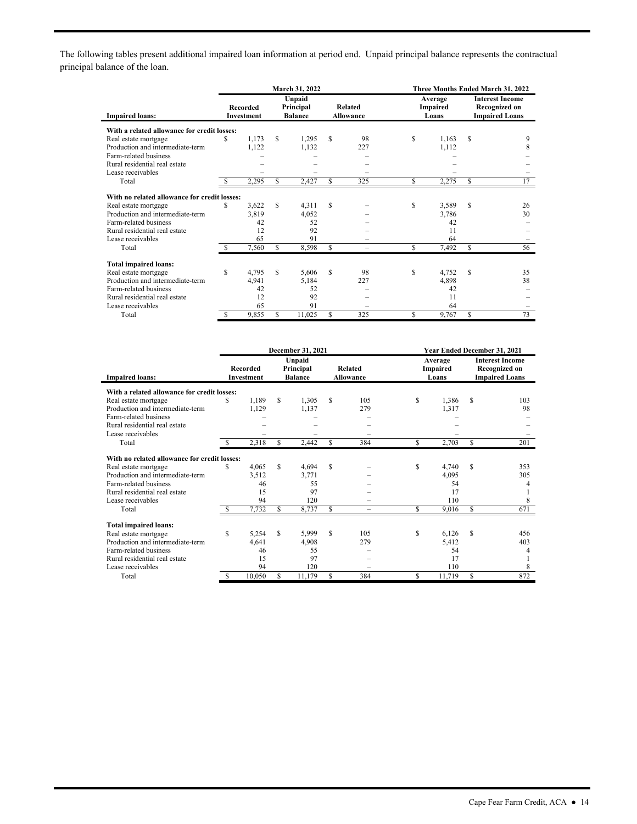The following tables present additional impaired loan information at period end. Unpaid principal balance represents the contractual principal balance of the loan.

|                                              |     |                                      |     | March 31, 2022                        |     |                                    |                              |       | Three Months Ended March 31, 2022                                       |    |
|----------------------------------------------|-----|--------------------------------------|-----|---------------------------------------|-----|------------------------------------|------------------------------|-------|-------------------------------------------------------------------------|----|
| <b>Impaired loans:</b>                       |     | <b>Recorded</b><br><b>Investment</b> |     | Unpaid<br>Principal<br><b>Balance</b> |     | <b>Related</b><br><b>Allowance</b> | Average<br>Impaired<br>Loans |       | <b>Interest Income</b><br><b>Recognized on</b><br><b>Impaired Loans</b> |    |
| With a related allowance for credit losses:  |     |                                      |     |                                       |     |                                    |                              |       |                                                                         |    |
| Real estate mortgage                         | \$. | 1,173                                | S   | 1,295                                 | \$. | 98                                 | S                            | 1,163 | S                                                                       | 9  |
| Production and intermediate-term             |     | 1,122                                |     | 1,132                                 |     | 227                                |                              | 1,112 |                                                                         | 8  |
| Farm-related business                        |     |                                      |     |                                       |     |                                    |                              |       |                                                                         |    |
| Rural residential real estate                |     |                                      |     |                                       |     |                                    |                              |       |                                                                         |    |
| Lease receivables                            |     |                                      |     |                                       |     |                                    |                              |       |                                                                         |    |
| Total                                        |     | 2,295                                | \$  | 2,427                                 | S   | 325                                | S                            | 2,275 | S                                                                       | 17 |
| With no related allowance for credit losses: |     |                                      |     |                                       |     |                                    |                              |       |                                                                         |    |
| Real estate mortgage                         | S   | 3,622                                | S   | 4,311                                 | S   |                                    | S                            | 3,589 | S                                                                       | 26 |
| Production and intermediate-term             |     | 3,819                                |     | 4,052                                 |     |                                    |                              | 3,786 |                                                                         | 30 |
| Farm-related business                        |     | 42                                   |     | 52                                    |     |                                    |                              | 42    |                                                                         |    |
| Rural residential real estate                |     | 12                                   |     | 92                                    |     |                                    |                              | 11    |                                                                         |    |
| Lease receivables                            |     | 65                                   |     | 91                                    |     |                                    |                              | 64    |                                                                         |    |
| Total                                        |     | 7,560                                | \$  | 8,598                                 | S   | $\overline{\phantom{0}}$           | S                            | 7,492 | S                                                                       | 56 |
| <b>Total impaired loans:</b>                 |     |                                      |     |                                       |     |                                    |                              |       |                                                                         |    |
| Real estate mortgage                         | S   | 4,795                                | S   | 5,606                                 | S   | 98                                 | S                            | 4,752 | S                                                                       | 35 |
| Production and intermediate-term             |     | 4,941                                |     | 5,184                                 |     | 227                                |                              | 4,898 |                                                                         | 38 |
| Farm-related business                        |     | 42                                   |     | 52                                    |     |                                    |                              | 42    |                                                                         |    |
| Rural residential real estate                |     | 12                                   |     | 92                                    |     |                                    |                              | 11    |                                                                         |    |
| Lease receivables                            |     | 65                                   |     | 91                                    |     |                                    |                              | 64    |                                                                         |    |
| Total                                        | £.  | 9,855                                | \$. | 11.025                                | S   | 325                                | S                            | 9,767 | S                                                                       | 73 |

|                                              |               |                                      |     | December 31, 2021                     |          |                             |                              | Year Ended December 31, 2021 |                                                                         |     |
|----------------------------------------------|---------------|--------------------------------------|-----|---------------------------------------|----------|-----------------------------|------------------------------|------------------------------|-------------------------------------------------------------------------|-----|
| <b>Impaired loans:</b>                       |               | <b>Recorded</b><br><b>Investment</b> |     | Unpaid<br>Principal<br><b>Balance</b> |          | <b>Related</b><br>Allowance | Average<br>Impaired<br>Loans |                              | <b>Interest Income</b><br><b>Recognized on</b><br><b>Impaired Loans</b> |     |
| With a related allowance for credit losses:  |               |                                      |     |                                       |          |                             |                              |                              |                                                                         |     |
| Real estate mortgage                         | \$            | 1,189                                | S   | 1,305                                 | S        | 105                         | \$                           | 1,386                        | S                                                                       | 103 |
| Production and intermediate-term             |               | 1,129                                |     | 1,137                                 |          | 279                         |                              | 1,317                        |                                                                         | 98  |
| Farm-related business                        |               |                                      |     |                                       |          |                             |                              |                              |                                                                         |     |
| Rural residential real estate                |               |                                      |     |                                       |          |                             |                              |                              |                                                                         |     |
| Lease receivables                            |               |                                      |     |                                       |          |                             |                              |                              |                                                                         |     |
| Total                                        |               | 2,318                                | \$. | 2,442                                 | S        | 384                         | S                            | 2,703                        | S                                                                       | 201 |
| With no related allowance for credit losses: |               |                                      |     |                                       |          |                             |                              |                              |                                                                         |     |
| Real estate mortgage                         | \$            | 4.065                                | \$. | 4,694                                 | <b>S</b> |                             | S                            | 4,740                        | <b>S</b>                                                                | 353 |
| Production and intermediate-term             |               | 3,512                                |     | 3,771                                 |          |                             |                              | 4,095                        |                                                                         | 305 |
| Farm-related business                        |               | 46                                   |     | 55                                    |          |                             |                              | 54                           |                                                                         | 4   |
| Rural residential real estate                |               | 15                                   |     | 97                                    |          |                             |                              | 17                           |                                                                         |     |
| Lease receivables                            |               | 94                                   |     | 120                                   |          | -                           |                              | 110                          |                                                                         | 8   |
| Total                                        | <sup>\$</sup> | 7,732                                | S   | 8,737                                 | S        | -                           | \$                           | 9,016                        | S                                                                       | 671 |
| <b>Total impaired loans:</b>                 |               |                                      |     |                                       |          |                             |                              |                              |                                                                         |     |
| Real estate mortgage                         | S             | 5,254                                | \$. | 5,999                                 | S        | 105                         | S                            | 6,126                        | S                                                                       | 456 |
| Production and intermediate-term             |               | 4,641                                |     | 4.908                                 |          | 279                         |                              | 5,412                        |                                                                         | 403 |
| Farm-related business                        |               | 46                                   |     | 55                                    |          |                             |                              | 54                           |                                                                         | 4   |
| Rural residential real estate                |               | 15                                   |     | 97                                    |          |                             |                              | 17                           |                                                                         |     |
| Lease receivables                            |               | 94                                   |     | 120                                   |          |                             |                              | 110                          |                                                                         | 8   |
| Total                                        | S             | 10,050                               | S   | 11,179                                | S        | 384                         | S                            | 11,719                       | S                                                                       | 872 |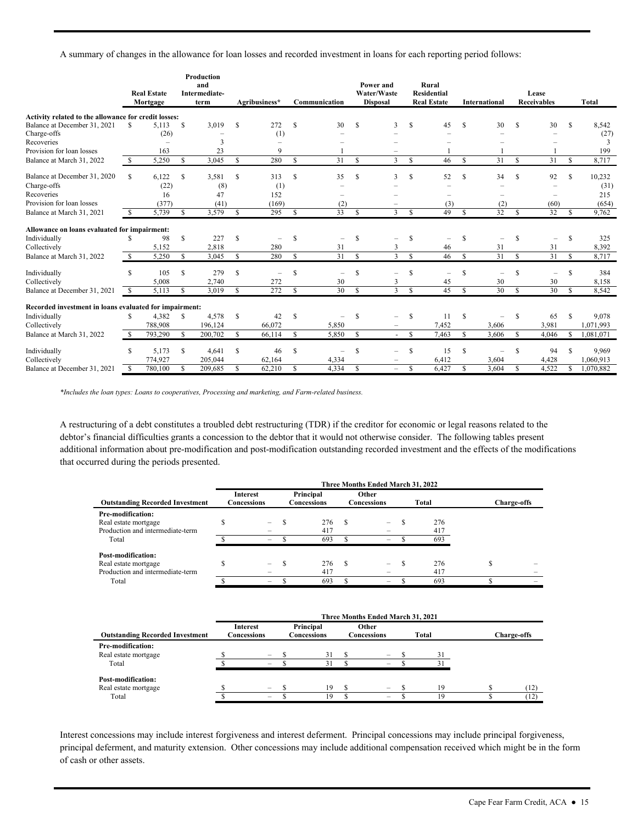A summary of changes in the allowance for loan losses and recorded investment in loans for each reporting period follows:

|                                                        |               | <b>Real Estate</b><br>Mortgage |               | Production<br>and<br><b>Intermediate-</b><br>term |               | Agribusiness* |               | Communication |    | Power and<br>Water/Waste<br><b>Disposal</b> |               | Rural<br><b>Residential</b><br><b>Real Estate</b> |               | <b>International</b> |                    | Lease<br><b>Receivables</b> |               | <b>Total</b> |
|--------------------------------------------------------|---------------|--------------------------------|---------------|---------------------------------------------------|---------------|---------------|---------------|---------------|----|---------------------------------------------|---------------|---------------------------------------------------|---------------|----------------------|--------------------|-----------------------------|---------------|--------------|
| Activity related to the allowance for credit losses:   |               |                                |               |                                                   |               |               |               |               |    |                                             |               |                                                   |               |                      |                    |                             |               |              |
| Balance at December 31, 2021                           | S             | 5,113                          | \$            | 3,019                                             | <sup>\$</sup> | 272           | \$            | 30            | \$ | 3                                           | S             | 45                                                | \$            | 30                   | \$                 | 30                          | <sup>\$</sup> | 8,542        |
| Charge-offs                                            |               | (26)                           |               |                                                   |               | (1)           |               |               |    |                                             |               |                                                   |               |                      |                    |                             |               | (27)         |
| Recoveries                                             |               |                                |               | 3                                                 |               |               |               |               |    |                                             |               |                                                   |               |                      |                    |                             |               | 3            |
| Provision for loan losses                              |               | 163                            |               | 23                                                |               | $\mathbf Q$   |               |               |    |                                             |               |                                                   |               |                      |                    |                             |               | 199          |
| Balance at March 31, 2022                              | <sup>\$</sup> | 5,250                          | \$            | 3,045                                             | \$            | 280           | S             | 31            | S  | 3                                           | \$            | 46                                                | S             | 31                   | S                  | 31                          | <sup>\$</sup> | 8,717        |
| Balance at December 31, 2020                           | S             | 6,122                          | \$            | 3,581                                             | \$            | 313           | \$            | 35            | \$ | 3                                           | S             | 52                                                | \$            | 34                   | \$                 | 92                          | <sup>\$</sup> | 10,232       |
| Charge-offs                                            |               | (22)                           |               | (8)                                               |               | (1)           |               |               |    |                                             |               |                                                   |               |                      |                    |                             |               | (31)         |
| Recoveries                                             |               | 16                             |               | 47                                                |               | 152           |               |               |    |                                             |               |                                                   |               |                      |                    |                             |               | 215          |
| Provision for loan losses                              |               | (377)                          |               | (41)                                              |               | (169)         |               | (2)           |    |                                             |               | (3)                                               |               | (2)                  |                    | (60)                        |               | (654)        |
| Balance at March 31, 2021                              | S             | 5.739                          | <sup>\$</sup> | 3,579                                             | <sup>\$</sup> | 295           | $\mathbb{S}$  | 33            | S  | 3                                           | S             | 49                                                | <sup>\$</sup> | 32                   | <sup>\$</sup>      | 32                          | <sup>\$</sup> | 9.762        |
| Allowance on loans evaluated for impairment:           |               |                                |               |                                                   |               |               |               |               |    |                                             |               |                                                   |               |                      |                    |                             |               |              |
| Individually                                           |               | 98                             | S             | 227                                               | <sup>\$</sup> |               | <sup>\$</sup> |               | S  |                                             | S             |                                                   | S             |                      | <sup>\$</sup>      |                             |               | 325          |
| Collectively                                           |               | 5,152                          |               | 2,818                                             |               | 280           |               | 31            |    | 3                                           |               | 46                                                |               | 31                   |                    | 31                          |               | 8,392        |
| Balance at March 31, 2022                              | <sup>\$</sup> | 5,250                          | S             | 3,045                                             | \$            | 280           | S             | 31            | \$ | 3                                           | <sup>\$</sup> | 46                                                | <sup>\$</sup> | 31                   | \$.                | 31                          | S             | 8,717        |
| Individually                                           | S             | 105                            | \$            | 279                                               | \$            | ÷             | \$            |               | \$ |                                             | S             | $\overline{\phantom{m}}$                          | $\mathbb{S}$  |                      | <sup>\$</sup>      | $\overline{\phantom{0}}$    |               | 384          |
| Collectively                                           |               | 5,008                          |               | 2,740                                             |               | 272           |               | 30            |    | 3                                           |               | 45                                                |               | 30                   |                    | 30                          |               | 8,158        |
| Balance at December 31, 2021                           | -S            | 5,113                          | S             | 3,019                                             | <sup>\$</sup> | 272           | <sup>\$</sup> | 30            | S  | 3                                           | <sup>\$</sup> | 45                                                | <sup>\$</sup> | 30                   | $\mathbf{\hat{s}}$ | 30                          | S             | 8,542        |
| Recorded investment in loans evaluated for impairment: |               |                                |               |                                                   |               |               |               |               |    |                                             |               |                                                   |               |                      |                    |                             |               |              |
| Individually                                           | S             | 4,382                          | \$            | 4,578                                             | \$            | 42            | \$            |               | S  |                                             | S             | 11                                                | $\mathbb{S}$  |                      | S                  | 65                          | <sup>\$</sup> | 9,078        |
| Collectively                                           |               | 788,908                        |               | 196,124                                           |               | 66,072        |               | 5,850         |    |                                             |               | 7,452                                             |               | 3,606                |                    | 3,981                       |               | 1,071,993    |
| Balance at March 31, 2022                              | <sup>\$</sup> | 793,290                        | S             | 200,702                                           | <sup>\$</sup> | 66,114        | <sup>\$</sup> | 5,850         | S  | ÷.                                          | $\mathbb{S}$  | 7,463                                             | S             | 3.606                | \$                 | 4,046                       | S             | 1,081,071    |
| Individually                                           | S             | 5,173                          | S             | 4,641                                             | \$            | 46            | <sup>\$</sup> |               | S  |                                             | S             | 15                                                | $\mathbb{S}$  |                      | <sup>\$</sup>      | 94                          | <sup>\$</sup> | 9,969        |
| Collectively                                           |               | 774,927                        |               | 205,044                                           |               | 62,164        |               | 4,334         |    |                                             |               | 6,412                                             |               | 3,604                |                    | 4,428                       |               | 1,060,913    |
| Balance at December 31, 2021                           | <sup>\$</sup> | 780,100                        | S             | 209,685                                           | \$            | 62,210        | \$            | 4,334         | \$ | $\overline{\phantom{0}}$                    | <sup>\$</sup> | 6,427                                             | <sup>\$</sup> | 3,604                | \$                 | 4,522                       | S             | 1,070,882    |
|                                                        |               |                                |               |                                                   |               |               |               |               |    |                                             |               |                                                   |               |                      |                    |                             |               |              |

*\*Includes the loan types: Loans to cooperatives, Processing and marketing, and Farm-related business.* 

 that occurred during the periods presented. A restructuring of a debt constitutes a troubled debt restructuring (TDR) if the creditor for economic or legal reasons related to the debtor's financial difficulties grants a concession to the debtor that it would not otherwise consider. The following tables present additional information about pre-modification and post-modification outstanding recorded investment and the effects of the modifications

|                                        |                          |             |     | Three Months Ended March 31, 2022 |       |   |                    |
|----------------------------------------|--------------------------|-------------|-----|-----------------------------------|-------|---|--------------------|
|                                        | Interest                 | Principal   |     | Other                             |       |   |                    |
| <b>Outstanding Recorded Investment</b> | Concessions              | Concessions |     | Concessions                       | Total |   | <b>Charge-offs</b> |
| Pre-modification:                      |                          |             |     |                                   |       |   |                    |
| Real estate mortgage                   | -                        | 276         | £.  | $\overline{\phantom{0}}$          | 276   |   |                    |
| Production and intermediate-term       |                          | 417         |     |                                   | 417   |   |                    |
| Total                                  | $\overline{\phantom{0}}$ | 693         | ъ.  | $\overline{\phantom{0}}$          | 693   |   |                    |
| <b>Post-modification:</b>              |                          |             |     |                                   |       |   |                    |
| Real estate mortgage                   |                          | 276         | \$. |                                   | 276   | Ф |                    |
| Production and intermediate-term       |                          | 417         |     |                                   | 417   |   |                    |
| Total                                  | $\overline{\phantom{0}}$ | 693         |     | -                                 | 693   |   |                    |

|                                                            |                         |                                                      |                          | Three Months Ended March 31, 2021           |          |                    |
|------------------------------------------------------------|-------------------------|------------------------------------------------------|--------------------------|---------------------------------------------|----------|--------------------|
| <b>Outstanding Recorded Investment</b>                     | Interest<br>Concessions |                                                      | Principal<br>Concessions | Other<br>Concessions                        | Total    | <b>Charge-offs</b> |
| <b>Pre-modification:</b><br>Real estate mortgage<br>Total  |                         | $\overline{\phantom{0}}$                             | 31<br>31                 | $\overline{\phantom{0}}$                    | 31       |                    |
| <b>Post-modification:</b><br>Real estate mortgage<br>Total |                         | $\overline{\phantom{0}}$<br>$\overline{\phantom{0}}$ | 19<br>19                 | $\overline{\phantom{a}}$<br>$\qquad \qquad$ | 19<br>19 |                    |

 Interest concessions may include interest forgiveness and interest deferment. Principal concessions may include principal forgiveness, principal deferment, and maturity extension. Other concessions may include additional compensation received which might be in the form of cash or other assets.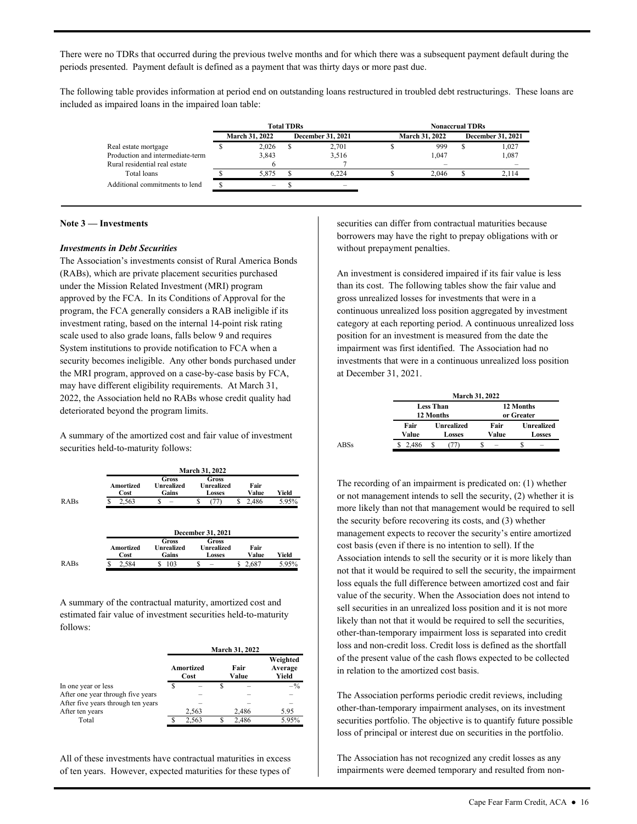There were no TDRs that occurred during the previous twelve months and for which there was a subsequent payment default during the periods presented. Payment default is defined as a payment that was thirty days or more past due.

 included as impaired loans in the impaired loan table: The following table provides information at period end on outstanding loans restructured in troubled debt restructurings. These loans are

|                                  |                       | <b>Total TDRs</b> |                          | <b>Nonaccrual TDRs</b> |                       |  |                   |  |  |
|----------------------------------|-----------------------|-------------------|--------------------------|------------------------|-----------------------|--|-------------------|--|--|
|                                  | <b>March 31, 2022</b> |                   | <b>December 31, 2021</b> |                        | <b>March 31, 2022</b> |  | December 31, 2021 |  |  |
| Real estate mortgage             | 2.026                 |                   | 2.701                    |                        | 999                   |  | 1,027             |  |  |
| Production and intermediate-term | 3,843                 |                   | 3,516                    |                        | 1.047                 |  | 1,087             |  |  |
| Rural residential real estate    |                       |                   |                          |                        |                       |  |                   |  |  |
| Total loans                      | 5.875                 |                   | 6.224                    |                        | 2.046                 |  | 2.114             |  |  |
| Additional commitments to lend   | -                     |                   |                          |                        |                       |  |                   |  |  |

#### **Note 3 — Investments**

#### *Investments in Debt Securities*

The Association's investments consist of Rural America Bonds (RABs), which are private placement securities purchased under the Mission Related Investment (MRI) program approved by the FCA. In its Conditions of Approval for the program, the FCA generally considers a RAB ineligible if its investment rating, based on the internal 14-point risk rating scale used to also grade loans, falls below 9 and requires System institutions to provide notification to FCA when a security becomes ineligible. Any other bonds purchased under the MRI program, approved on a case-by-case basis by FCA, may have different eligibility requirements. At March 31, 2022, the Association held no RABs whose credit quality had deteriorated beyond the program limits.

A summary of the amortized cost and fair value of investment securities held-to-maturity follows:

|      |                          |                              | <b>March 31, 2022</b>                |               |       |
|------|--------------------------|------------------------------|--------------------------------------|---------------|-------|
|      | Amortized<br>Cost        | Gross<br>Unrealized<br>Gains | Gross<br>Unrealized<br><b>Losses</b> | Fair<br>Value | Yield |
| RABs | 2,563                    | S                            | S                                    | 2,486<br>S    | 5.95% |
|      |                          |                              | <b>December 31, 2021</b>             |               |       |
|      |                          |                              |                                      |               |       |
|      | <b>Amortized</b><br>Cost | Gross<br>Unrealized<br>Gains | Gross<br>Unrealized<br><b>Losses</b> | Fair<br>Value | Yield |

A summary of the contractual maturity, amortized cost and estimated fair value of investment securities held-to-maturity follows:

|                                    |   |                          |               | <b>March 31, 2022</b> |                              |
|------------------------------------|---|--------------------------|---------------|-----------------------|------------------------------|
|                                    |   | <b>Amortized</b><br>Cost | Fair<br>Value |                       | Weighted<br>Average<br>Yield |
| In one year or less                | S |                          |               |                       | $-$ %                        |
| After one year through five years  |   |                          |               |                       |                              |
| After five years through ten years |   |                          |               |                       |                              |
| After ten years                    |   | 2,563                    |               | 2,486                 | 5.95                         |
| Total                              |   | 2.563                    |               | 2.486                 | 5.95%                        |

 of ten years. However, expected maturities for these types of All of these investments have contractual maturities in excess securities can differ from contractual maturities because borrowers may have the right to prepay obligations with or without prepayment penalties.

An investment is considered impaired if its fair value is less than its cost. The following tables show the fair value and gross unrealized losses for investments that were in a continuous unrealized loss position aggregated by investment category at each reporting period. A continuous unrealized loss position for an investment is measured from the date the impairment was first identified. The Association had no investments that were in a continuous unrealized loss position at December 31, 2021.

|               |                                    |                               | 12 Months<br>or Greater            |
|---------------|------------------------------------|-------------------------------|------------------------------------|
| Fair<br>Value | <b>Unrealized</b><br><b>Losses</b> | Fair<br>Value                 | <b>Unrealized</b><br><b>Losses</b> |
| 2.486         |                                    |                               |                                    |
|               |                                    | <b>Less Than</b><br>12 Months | <b>March 31, 2022</b>              |

The recording of an impairment is predicated on: (1) whether or not management intends to sell the security, (2) whether it is more likely than not that management would be required to sell the security before recovering its costs, and (3) whether management expects to recover the security's entire amortized cost basis (even if there is no intention to sell). If the Association intends to sell the security or it is more likely than not that it would be required to sell the security, the impairment loss equals the full difference between amortized cost and fair value of the security. When the Association does not intend to sell securities in an unrealized loss position and it is not more likely than not that it would be required to sell the securities, other-than-temporary impairment loss is separated into credit loss and non-credit loss. Credit loss is defined as the shortfall of the present value of the cash flows expected to be collected in relation to the amortized cost basis.

The Association performs periodic credit reviews, including other-than-temporary impairment analyses, on its investment securities portfolio. The objective is to quantify future possible loss of principal or interest due on securities in the portfolio.

The Association has not recognized any credit losses as any impairments were deemed temporary and resulted from non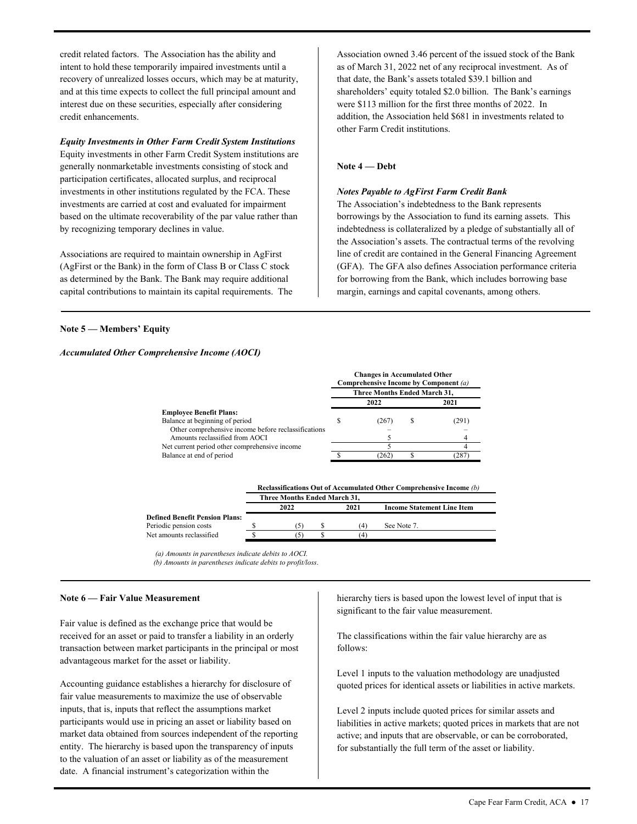credit related factors. The Association has the ability and intent to hold these temporarily impaired investments until a recovery of unrealized losses occurs, which may be at maturity, and at this time expects to collect the full principal amount and interest due on these securities, especially after considering credit enhancements.

#### *Equity Investments in Other Farm Credit System Institutions*

by recognizing temporary declines in value. Equity investments in other Farm Credit System institutions are generally nonmarketable investments consisting of stock and participation certificates, allocated surplus, and reciprocal investments in other institutions regulated by the FCA. These investments are carried at cost and evaluated for impairment based on the ultimate recoverability of the par value rather than

 capital contributions to maintain its capital requirements. The Associations are required to maintain ownership in AgFirst (AgFirst or the Bank) in the form of Class B or Class C stock as determined by the Bank. The Bank may require additional

 shareholders' equity totaled \$2.0 billion. The Bank's earnings Association owned 3.46 percent of the issued stock of the Bank as of March 31, 2022 net of any reciprocal investment. As of that date, the Bank's assets totaled \$39.1 billion and were \$113 million for the first three months of 2022. In addition, the Association held \$681 in investments related to other Farm Credit institutions.

#### **Note 4 — Debt**

#### *Notes Payable to AgFirst Farm Credit Bank*

The Association's indebtedness to the Bank represents borrowings by the Association to fund its earning assets. This indebtedness is collateralized by a pledge of substantially all of the Association's assets. The contractual terms of the revolving line of credit are contained in the General Financing Agreement (GFA). The GFA also defines Association performance criteria for borrowing from the Bank, which includes borrowing base margin, earnings and capital covenants, among others.

#### **Note 5 — Members' Equity**

#### *Accumulated Other Comprehensive Income (AOCI)*

|                                                     |                              | <b>Changes in Accumulated Other</b><br>Comprehensive Income by Component (a) |  |       |  |  |  |  |
|-----------------------------------------------------|------------------------------|------------------------------------------------------------------------------|--|-------|--|--|--|--|
|                                                     | Three Months Ended March 31, |                                                                              |  |       |  |  |  |  |
|                                                     |                              | 2022                                                                         |  | 2021  |  |  |  |  |
| <b>Employee Benefit Plans:</b>                      |                              |                                                                              |  |       |  |  |  |  |
| Balance at beginning of period                      |                              | (267)                                                                        |  | (291) |  |  |  |  |
| Other comprehensive income before reclassifications |                              |                                                                              |  |       |  |  |  |  |
| Amounts reclassified from AOCI                      |                              |                                                                              |  |       |  |  |  |  |
| Net current period other comprehensive income       |                              |                                                                              |  |       |  |  |  |  |
| Balance at end of period                            |                              | (262)                                                                        |  | 1287  |  |  |  |  |
|                                                     |                              |                                                                              |  |       |  |  |  |  |

|                                       | Reclassifications Out of Accumulated Other Comprehensive Income (b) |      |  |      |                                   |  |  |  |  |  |  |  |
|---------------------------------------|---------------------------------------------------------------------|------|--|------|-----------------------------------|--|--|--|--|--|--|--|
|                                       | Three Months Ended March 31.                                        |      |  |      |                                   |  |  |  |  |  |  |  |
|                                       | 2022                                                                |      |  | 2021 | <b>Income Statement Line Item</b> |  |  |  |  |  |  |  |
| <b>Defined Benefit Pension Plans:</b> |                                                                     |      |  |      |                                   |  |  |  |  |  |  |  |
| Periodic pension costs                |                                                                     | ، د. |  | (4)  | See Note 7.                       |  |  |  |  |  |  |  |
| Net amounts reclassified              |                                                                     |      |  | (4)  |                                   |  |  |  |  |  |  |  |
|                                       |                                                                     |      |  |      |                                   |  |  |  |  |  |  |  |

 *(a) Amounts in parentheses indicate debits to AOCI. (b) Amounts in parentheses indicate debits to profit/loss*.

#### **Note 6 — Fair Value Measurement**

Fair value is defined as the exchange price that would be received for an asset or paid to transfer a liability in an orderly transaction between market participants in the principal or most advantageous market for the asset or liability.

Accounting guidance establishes a hierarchy for disclosure of fair value measurements to maximize the use of observable inputs, that is, inputs that reflect the assumptions market participants would use in pricing an asset or liability based on market data obtained from sources independent of the reporting entity. The hierarchy is based upon the transparency of inputs to the valuation of an asset or liability as of the measurement date. A financial instrument's categorization within the

hierarchy tiers is based upon the lowest level of input that is significant to the fair value measurement.

The classifications within the fair value hierarchy are as follows:

Level 1 inputs to the valuation methodology are unadjusted quoted prices for identical assets or liabilities in active markets.

Level 2 inputs include quoted prices for similar assets and liabilities in active markets; quoted prices in markets that are not active; and inputs that are observable, or can be corroborated, for substantially the full term of the asset or liability.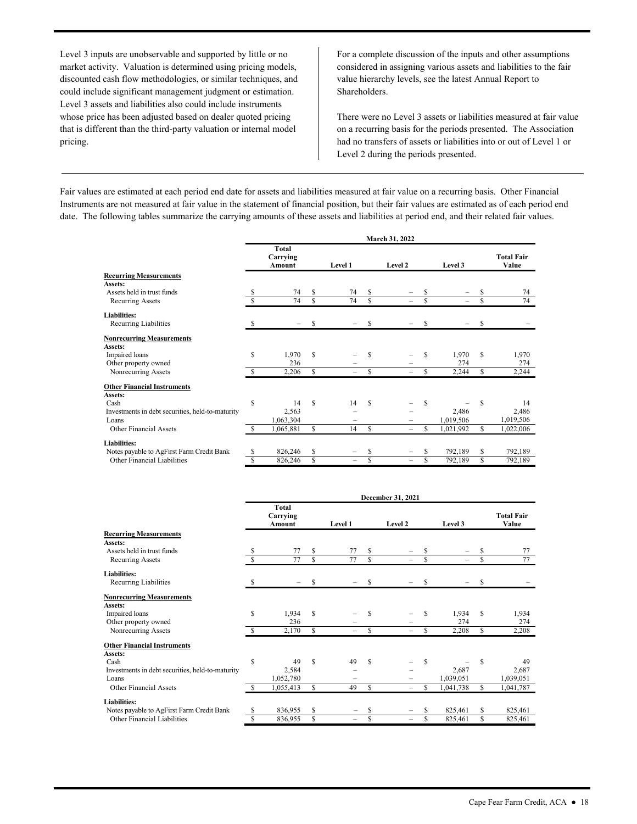Level 3 inputs are unobservable and supported by little or no market activity. Valuation is determined using pricing models, discounted cash flow methodologies, or similar techniques, and could include significant management judgment or estimation. Level 3 assets and liabilities also could include instruments whose price has been adjusted based on dealer quoted pricing that is different than the third-party valuation or internal model Nevel 3 inputs are unobservable and supported by little or no<br>
market activity. Valuation is determined using pricing models,<br>
discounted cash flow methodologies, or similar techniques, and<br>
could include significant manag

considered in assigning various assets and liabilities to the fair value hierarchy levels, see the latest Annual Report to Shareholders.

There were no Level 3 assets or liabilities measured at fair value on a recurring basis for the periods presented. The Association had no transfers of assets or liabilities into or out of Level 1 or Level 2 during the periods presented.

 date. The following tables summarize the carrying amounts of these assets and liabilities at period end, and their related fair values. Fair values are estimated at each period end date for assets and liabilities measured at fair value on a recurring basis. Other Financial Instruments are not measured at fair value in the statement of financial position, but their fair values are estimated as of each period end

|                                                  | March 31, 2022 |                             |    |                          |              |         |   |           |    |                            |
|--------------------------------------------------|----------------|-----------------------------|----|--------------------------|--------------|---------|---|-----------|----|----------------------------|
|                                                  |                | Total<br>Carrying<br>Amount |    | Level 1                  |              | Level 2 |   | Level 3   |    | <b>Total Fair</b><br>Value |
| <b>Recurring Measurements</b>                    |                |                             |    |                          |              |         |   |           |    |                            |
| Assets:                                          |                |                             |    |                          |              |         |   |           |    |                            |
| Assets held in trust funds                       | S              | 74                          | S  | 74                       | \$           |         | S |           | S  | 74                         |
| Recurring Assets                                 |                | 74                          | \$ | 74                       | $\mathbb{S}$ |         | S | $\equiv$  |    | 74                         |
| Liabilities:                                     |                |                             |    |                          |              |         |   |           |    |                            |
| Recurring Liabilities                            | S              | -                           | S  |                          | \$           |         | S |           | S  |                            |
| <b>Nonrecurring Measurements</b>                 |                |                             |    |                          |              |         |   |           |    |                            |
| Assets:                                          |                |                             |    |                          |              |         |   |           |    |                            |
| Impaired loans                                   | S              | 1,970                       | S  |                          | Ŝ            |         | S | 1,970     | S  | 1,970                      |
| Other property owned                             |                | 236                         |    |                          |              |         |   | 274       |    | 274                        |
| Nonrecurring Assets                              |                | 2,206                       | S  |                          | S            |         | S | 2,244     | S  | 2,244                      |
| <b>Other Financial Instruments</b>               |                |                             |    |                          |              |         |   |           |    |                            |
| Assets:                                          |                |                             |    |                          |              |         |   |           |    |                            |
| Cash                                             | S              | 14                          | \$ | 14                       | S            | -       | S |           | S  | 14                         |
| Investments in debt securities, held-to-maturity |                | 2,563                       |    |                          |              |         |   | 2,486     |    | 2,486                      |
| Loans                                            |                | 1,063,304                   |    |                          |              |         |   | 1,019,506 |    | 1,019,506                  |
| <b>Other Financial Assets</b>                    |                | 1,065,881                   | \$ | 14                       | \$           | -       | S | 1,021,992 | S. | 1,022,006                  |
| Liabilities:                                     |                |                             |    |                          |              |         |   |           |    |                            |
| Notes payable to AgFirst Farm Credit Bank        | S              | 826,246                     |    |                          | S            |         |   | 792,189   |    | 792,189                    |
| <b>Other Financial Liabilities</b>               | \$             | 826,246                     | S  | $\overline{\phantom{0}}$ | \$           | -       | S | 792,189   | S  | 792,189                    |

|                                                  | December 31, 2021 |                             |    |         |    |                          |    |           |    |                            |
|--------------------------------------------------|-------------------|-----------------------------|----|---------|----|--------------------------|----|-----------|----|----------------------------|
|                                                  |                   | Total<br>Carrying<br>Amount |    | Level 1 |    | Level 2                  |    | Level 3   |    | <b>Total Fair</b><br>Value |
| <b>Recurring Measurements</b>                    |                   |                             |    |         |    |                          |    |           |    |                            |
| Assets:                                          |                   |                             |    |         |    |                          |    |           |    |                            |
| Assets held in trust funds                       |                   | 77                          | S  | 77      | \$ |                          | S  |           | S  | 77                         |
| <b>Recurring Assets</b>                          |                   | 77                          | S  | 77      | S  |                          | Ŝ  |           | \$ | 77                         |
| <b>Liabilities:</b>                              |                   |                             |    |         |    |                          |    |           |    |                            |
| Recurring Liabilities                            | S                 |                             | S  |         | S  |                          | S  |           | S  |                            |
| <b>Nonrecurring Measurements</b>                 |                   |                             |    |         |    |                          |    |           |    |                            |
| <b>Assets:</b>                                   |                   |                             |    |         |    |                          |    |           |    |                            |
| Impaired loans                                   | \$.               | 1,934                       | S  |         | S  |                          | S  | 1,934     | S  | 1,934                      |
| Other property owned                             |                   | 236                         |    |         |    |                          |    | 274       |    | 274                        |
| Nonrecurring Assets                              |                   | 2,170                       | S  |         | S  | $\overline{\phantom{0}}$ | S  | 2,208     | S  | 2,208                      |
| <b>Other Financial Instruments</b>               |                   |                             |    |         |    |                          |    |           |    |                            |
| Assets:                                          |                   |                             |    |         |    |                          |    |           |    |                            |
| Cash                                             | S                 | 49                          | S  | 49      | S  | -                        | S  |           | S  | 49                         |
| Investments in debt securities, held-to-maturity |                   | 2,584                       |    |         |    |                          |    | 2,687     |    | 2,687                      |
| Loans                                            |                   | 1,052,780                   |    |         |    |                          |    | 1,039,051 |    | 1,039,051                  |
| Other Financial Assets                           |                   | 1,055,413                   | \$ | 49      | S  | -                        | S  | 1,041,738 |    | 1,041,787                  |
| <b>Liabilities:</b>                              |                   |                             |    |         |    |                          |    |           |    |                            |
| Notes payable to AgFirst Farm Credit Bank        | S                 | 836,955                     | \$ |         | \$ |                          |    | 825,461   |    | 825,461                    |
| Other Financial Liabilities                      | S                 | 836,955                     | S  |         | \$ | $\overline{\phantom{0}}$ | \$ | 825,461   | S  | 825,461                    |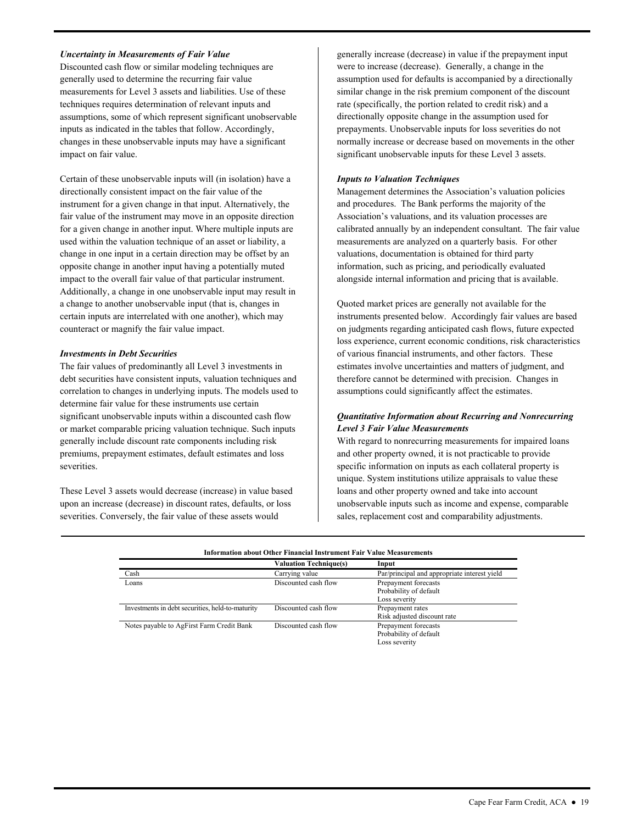#### *Uncertainty in Measurements of Fair Value*

Discounted cash flow or similar modeling techniques are generally used to determine the recurring fair value measurements for Level 3 assets and liabilities. Use of these techniques requires determination of relevant inputs and assumptions, some of which represent significant unobservable inputs as indicated in the tables that follow. Accordingly, changes in these unobservable inputs may have a significant impact on fair value.

Certain of these unobservable inputs will (in isolation) have a directionally consistent impact on the fair value of the instrument for a given change in that input. Alternatively, the fair value of the instrument may move in an opposite direction for a given change in another input. Where multiple inputs are used within the valuation technique of an asset or liability, a change in one input in a certain direction may be offset by an opposite change in another input having a potentially muted impact to the overall fair value of that particular instrument. Additionally, a change in one unobservable input may result in a change to another unobservable input (that is, changes in certain inputs are interrelated with one another), which may counteract or magnify the fair value impact.

#### *Investments in Debt Securities*

The fair values of predominantly all Level 3 investments in debt securities have consistent inputs, valuation techniques and correlation to changes in underlying inputs. The models used to determine fair value for these instruments use certain significant unobservable inputs within a discounted cash flow or market comparable pricing valuation technique. Such inputs generally include discount rate components including risk premiums, prepayment estimates, default estimates and loss severities.

These Level 3 assets would decrease (increase) in value based upon an increase (decrease) in discount rates, defaults, or loss severities. Conversely, the fair value of these assets would

generally increase (decrease) in value if the prepayment input were to increase (decrease). Generally, a change in the assumption used for defaults is accompanied by a directionally similar change in the risk premium component of the discount rate (specifically, the portion related to credit risk) and a directionally opposite change in the assumption used for prepayments. Unobservable inputs for loss severities do not normally increase or decrease based on movements in the other significant unobservable inputs for these Level 3 assets.

#### *Inputs to Valuation Techniques*

 calibrated annually by an independent consultant. The fair value measurements are analyzed on a quarterly basis. For other valuations, documentation is obtained for third party Management determines the Association's valuation policies and procedures. The Bank performs the majority of the Association's valuations, and its valuation processes are information, such as pricing, and periodically evaluated alongside internal information and pricing that is available.

 of various financial instruments, and other factors. These assumptions could significantly affect the estimates. Quoted market prices are generally not available for the instruments presented below. Accordingly fair values are based on judgments regarding anticipated cash flows, future expected loss experience, current economic conditions, risk characteristics estimates involve uncertainties and matters of judgment, and therefore cannot be determined with precision. Changes in

### *Quantitative Information about Recurring and Nonrecurring Level 3 Fair Value Measurements*

 sales, replacement cost and comparability adjustments. With regard to nonrecurring measurements for impaired loans and other property owned, it is not practicable to provide specific information on inputs as each collateral property is unique. System institutions utilize appraisals to value these loans and other property owned and take into account unobservable inputs such as income and expense, comparable

|                                                  | <b>Valuation Technique(s)</b> | Input<br>Par/principal and appropriate interest yield |  |  |  |  |
|--------------------------------------------------|-------------------------------|-------------------------------------------------------|--|--|--|--|
| Cash                                             | Carrying value                |                                                       |  |  |  |  |
| Loans                                            | Discounted cash flow          | Prepayment forecasts                                  |  |  |  |  |
|                                                  |                               | Probability of default                                |  |  |  |  |
|                                                  |                               | Loss severity                                         |  |  |  |  |
| Investments in debt securities, held-to-maturity | Discounted cash flow          | Prepayment rates                                      |  |  |  |  |
|                                                  |                               | Risk adjusted discount rate                           |  |  |  |  |
| Notes payable to AgFirst Farm Credit Bank        | Discounted cash flow          | Prepayment forecasts                                  |  |  |  |  |
|                                                  |                               | Probability of default                                |  |  |  |  |
|                                                  |                               | Loss severity                                         |  |  |  |  |

#### **Information about Other Financial Instrument Fair Value Measurements**